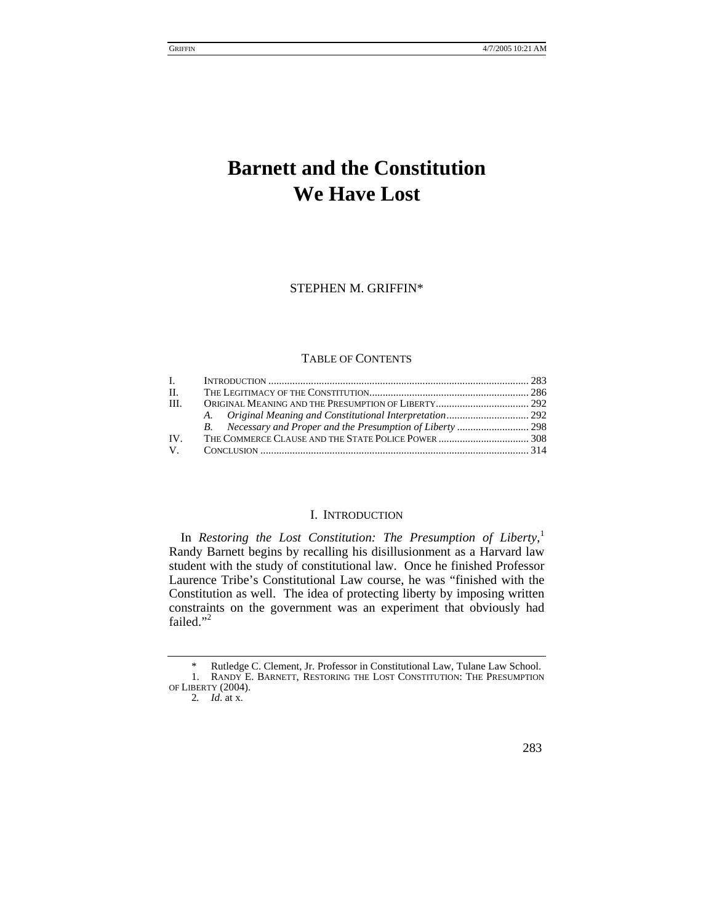# **Barnett and the Constitution We Have Lost**

STEPHEN M. GRIFFIN[\\*](#page-0-0) 

# TABLE OF CONTENTS

| $\mathbf{L}$ |  |
|--------------|--|
| П.           |  |
| - III.       |  |
|              |  |
|              |  |
| TV.          |  |
| $V_{\perp}$  |  |

## I. INTRODUCTION

In *Restoring the Lost Constitution: The Presumption of Liberty*,<sup>[1](#page-0-1)</sup> Randy Barnett begins by recalling his disillusionment as a Harvard law student with the study of constitutional law. Once he finished Professor Laurence Tribe's Constitutional Law course, he was "finished with the Constitution as well. The idea of protecting liberty by imposing written constraints on the government was an experiment that obviously had failed."<sup>[2](#page-0-2)</sup>

<span id="page-0-0"></span> <sup>\*</sup> Rutledge C. Clement, Jr. Professor in Constitutional Law, Tulane Law School. 1. RANDY E. BARNETT, RESTORING THE LOST CONSTITUTION: THE PRESUMPTION OF LIBERTY (2004).

<span id="page-0-2"></span><span id="page-0-1"></span><sup>2</sup>*. Id*. at x.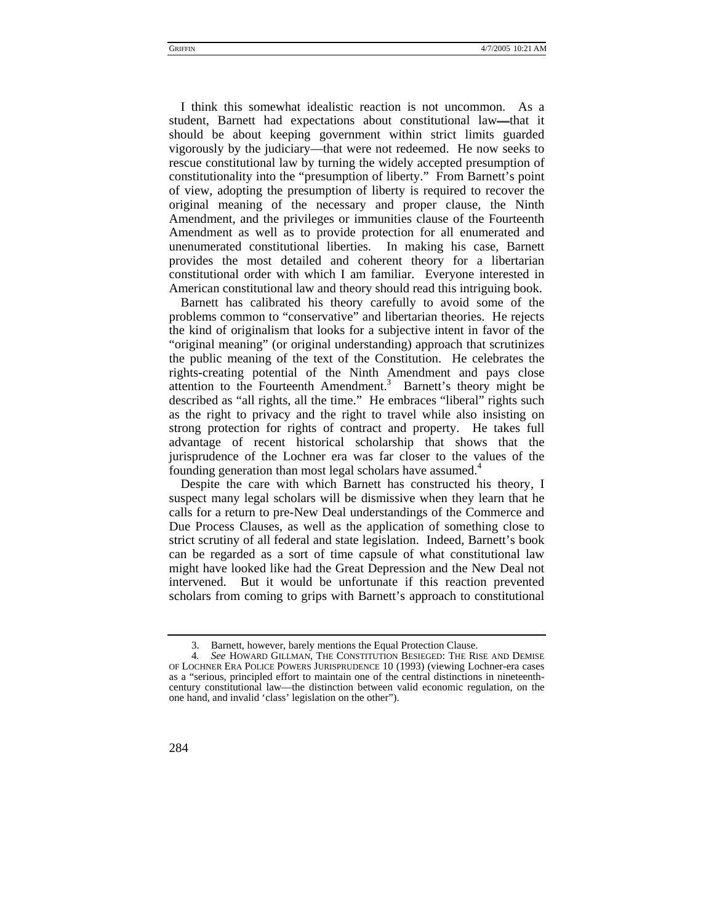I think this somewhat idealistic reaction is not uncommon. As a student, Barnett had expectations about constitutional law—that it should be about keeping government within strict limits guarded vigorously by the judiciary—that were not redeemed. He now seeks to rescue constitutional law by turning the widely accepted presumption of constitutionality into the "presumption of liberty." From Barnett's point of view, adopting the presumption of liberty is required to recover the original meaning of the necessary and proper clause, the Ninth Amendment, and the privileges or immunities clause of the Fourteenth Amendment as well as to provide protection for all enumerated and unenumerated constitutional liberties. In making his case, Barnett provides the most detailed and coherent theory for a libertarian constitutional order with which I am familiar. Everyone interested in American constitutional law and theory should read this intriguing book.

Barnett has calibrated his theory carefully to avoid some of the problems common to "conservative" and libertarian theories. He rejects the kind of originalism that looks for a subjective intent in favor of the "original meaning" (or original understanding) approach that scrutinizes the public meaning of the text of the Constitution. He celebrates the rights-creating potential of the Ninth Amendment and pays close attention to the Fourteenth Amendment.<sup>3</sup> Barnett's theory might be described as "all rights, all the time." He embraces "liberal" rights such as the right to privacy and the right to travel while also insisting on strong protection for rights of contract and property. He takes full advantage of recent historical scholarship that shows that the jurisprudence of the Lochner era was far closer to the values of the founding generation than most legal scholars have assumed.<sup>[4](#page-1-1)</sup>

Despite the care with which Barnett has constructed his theory, I suspect many legal scholars will be dismissive when they learn that he calls for a return to pre-New Deal understandings of the Commerce and Due Process Clauses, as well as the application of something close to strict scrutiny of all federal and state legislation. Indeed, Barnett's book can be regarded as a sort of time capsule of what constitutional law might have looked like had the Great Depression and the New Deal not intervened. But it would be unfortunate if this reaction prevented scholars from coming to grips with Barnett's approach to constitutional

<sup>4</sup>*. See* HOWARD GILLMAN, THE CONSTITUTION BESIEGED: THE RISE AND DEMISE OF LOCHNER ERA POLICE POWERS JURISPRUDENCE 10 (1993) (viewing Lochner-era cases as a "serious, principled effort to maintain one of the central distinctions in nineteenthcentury constitutional law—the distinction between valid economic regulation, on the one hand, and invalid 'class' legislation on the other").



<span id="page-1-1"></span><span id="page-1-0"></span><sup>3.</sup> Barnett, however, barely mentions the Equal Protection Clause.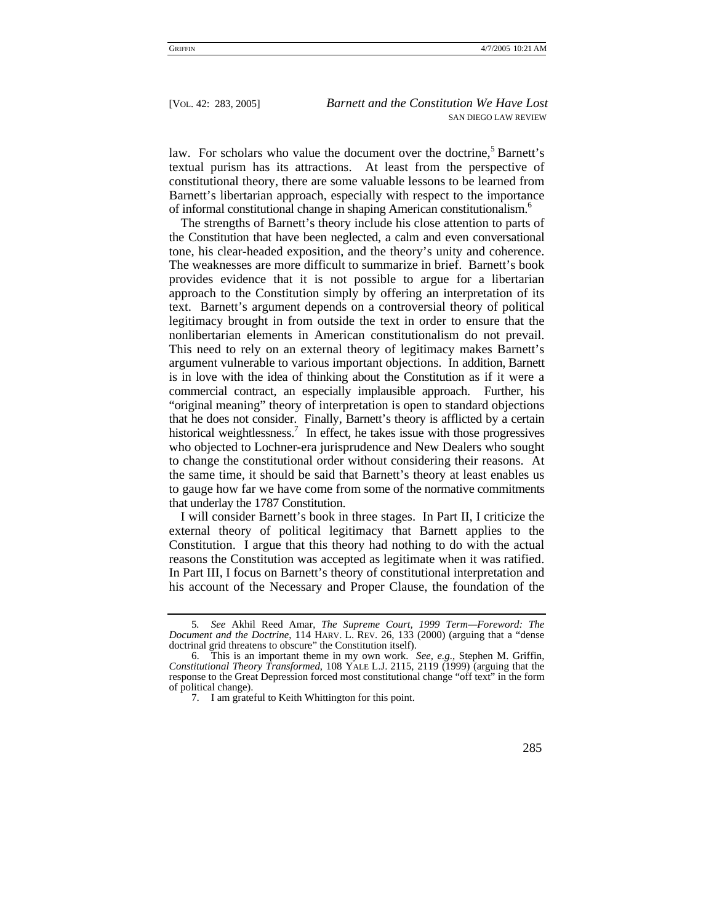law. For scholars who value the document over the doctrine,<sup>[5](#page-2-0)</sup> Barnett's textual purism has its attractions. At least from the perspective of constitutional theory, there are some valuable lessons to be learned from Barnett's libertarian approach, especially with respect to the importance of informal constitutional change in shaping American constitutionalism.[6](#page-2-1)

The strengths of Barnett's theory include his close attention to parts of the Constitution that have been neglected, a calm and even conversational tone, his clear-headed exposition, and the theory's unity and coherence. The weaknesses are more difficult to summarize in brief. Barnett's book provides evidence that it is not possible to argue for a libertarian approach to the Constitution simply by offering an interpretation of its text. Barnett's argument depends on a controversial theory of political legitimacy brought in from outside the text in order to ensure that the nonlibertarian elements in American constitutionalism do not prevail. This need to rely on an external theory of legitimacy makes Barnett's argument vulnerable to various important objections. In addition, Barnett is in love with the idea of thinking about the Constitution as if it were a commercial contract, an especially implausible approach. Further, his "original meaning" theory of interpretation is open to standard objections that he does not consider. Finally, Barnett's theory is afflicted by a certain historical weightlessness.<sup>[7](#page-2-2)</sup> In effect, he takes issue with those progressives who objected to Lochner-era jurisprudence and New Dealers who sought to change the constitutional order without considering their reasons. At the same time, it should be said that Barnett's theory at least enables us to gauge how far we have come from some of the normative commitments that underlay the 1787 Constitution.

I will consider Barnett's book in three stages. In Part II, I criticize the external theory of political legitimacy that Barnett applies to the Constitution. I argue that this theory had nothing to do with the actual reasons the Constitution was accepted as legitimate when it was ratified. In Part III, I focus on Barnett's theory of constitutional interpretation and his account of the Necessary and Proper Clause, the foundation of the

<span id="page-2-0"></span><sup>5</sup>*. See* Akhil Reed Amar, *The Supreme Court, 1999 Term—Foreword: The Document and the Doctrine*, 114 HARV. L. REV. 26, 133 (2000) (arguing that a "dense doctrinal grid threatens to obscure" the Constitution itself).

<span id="page-2-1"></span><sup>6.</sup> This is an important theme in my own work. *See, e.g.*, Stephen M. Griffin, *Constitutional Theory Transformed*, 108 YALE L.J. 2115, 2119 (1999) (arguing that the response to the Great Depression forced most constitutional change "off text" in the form of political change).

<span id="page-2-2"></span><sup>7.</sup> I am grateful to Keith Whittington for this point.

 <sup>285</sup>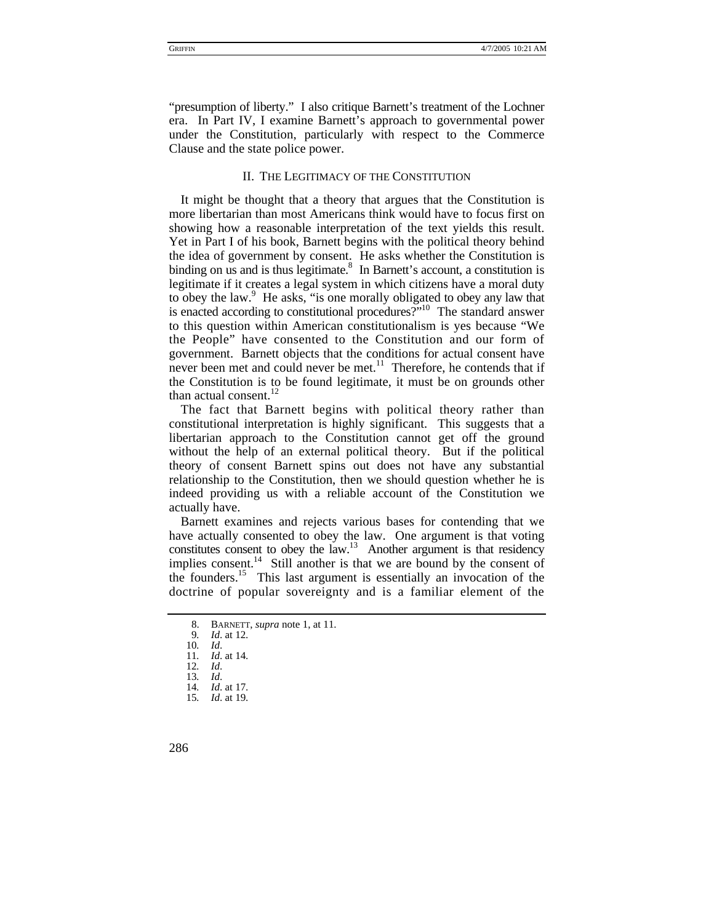"presumption of liberty." I also critique Barnett's treatment of the Lochner era. In Part IV, I examine Barnett's approach to governmental power under the Constitution, particularly with respect to the Commerce Clause and the state police power.

## II. THE LEGITIMACY OF THE CONSTITUTION

It might be thought that a theory that argues that the Constitution is more libertarian than most Americans think would have to focus first on showing how a reasonable interpretation of the text yields this result. Yet in Part I of his book, Barnett begins with the political theory behind the idea of government by consent. He asks whether the Constitution is binding on us and is thus legitimate. $8\,$  In Barnett's account, a constitution is legitimate if it creates a legal system in which citizens have a moral duty toobey the law.<sup>9</sup> He asks, "is one morally obligated to obey any law that is enacted according to constitutional procedures?["10](#page-3-2) The standard answer to this question within American constitutionalism is yes because "We the People" have consented to the Constitution and our form of government. Barnett objects that the conditions for actual consent have never been met and could never be met.<sup>11</sup> Therefore, he contends that if the Constitution is to be found legitimate, it must be on grounds other than actual consent.<sup>12</sup>

The fact that Barnett begins with political theory rather than constitutional interpretation is highly significant. This suggests that a libertarian approach to the Constitution cannot get off the ground without the help of an external political theory. But if the political theory of consent Barnett spins out does not have any substantial relationship to the Constitution, then we should question whether he is indeed providing us with a reliable account of the Constitution we actually have.

Barnett examines and rejects various bases for contending that we have actually consented to obey the law. One argument is that voting constitutes consent to obey the law.<sup>13</sup> Another argument is that residency implies consent.<sup>14</sup> Still another is that we are bound by the consent of the founders.[15](#page-3-7) This last argument is essentially an invocation of the doctrine of popular sovereignty and is a familiar element of the

<span id="page-3-4"></span><span id="page-3-3"></span>12*. Id*.

- <span id="page-3-5"></span>13*. Id*.
- <span id="page-3-7"></span><span id="page-3-6"></span>14*. Id*. at 17. 15*. Id*. at 19.

<span id="page-3-0"></span><sup>8.</sup> BARNETT, *supra* note 1, at 11.

<span id="page-3-1"></span><sup>9</sup>*. Id*. at 12.

<span id="page-3-2"></span><sup>10</sup>*. Id*. 11*. Id*. at 14.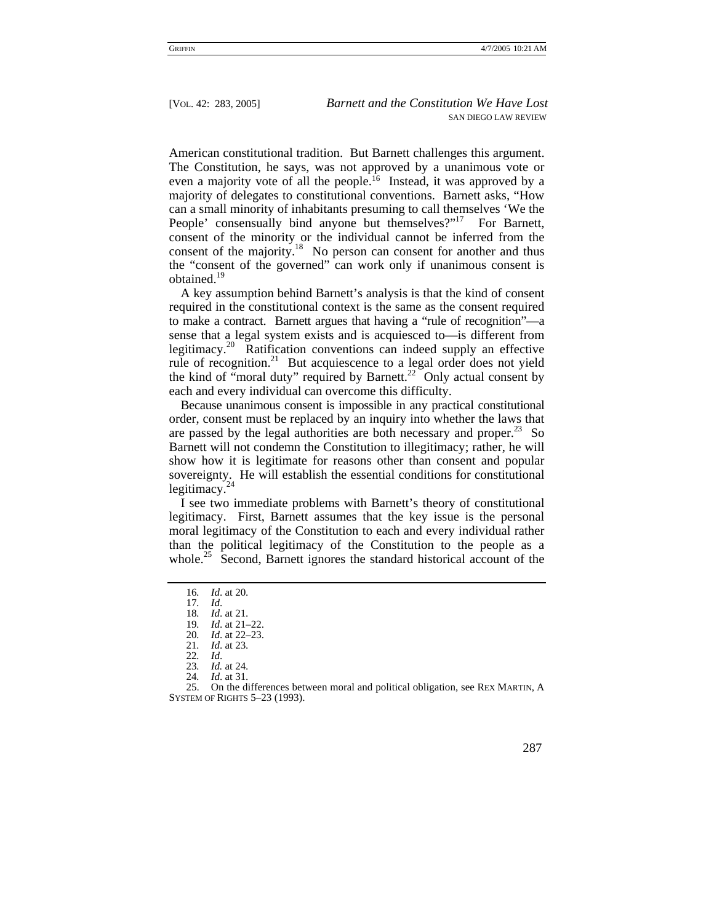American constitutional tradition. But Barnett challenges this argument. The Constitution, he says, was not approved by a unanimous vote or even a majority vote of all the people.<sup>16</sup> Instead, it was approved by a majority of delegates to constitutional conventions. Barnett asks, "How can a small minority of inhabitants presuming to call themselves 'We the People' consensually bind anyone but themselves?"<sup>17</sup> For Barnett, consent of the minority or the individual cannot be inferred from the consent of the majority.<sup>18</sup> No person can consent for another and thus the "consent of the governed" can work only if unanimous consent is obtained.<sup>[19](#page-4-3)</sup>

A key assumption behind Barnett's analysis is that the kind of consent required in the constitutional context is the same as the consent required to make a contract. Barnett argues that having a "rule of recognition"—a sense that a legal system exists and is acquiesced to—is different from legitimacy.[20](#page-4-4) Ratification conventions can indeed supply an effective rule of recognition.<sup>21</sup> But acquiescence to a legal order does not yield the kind of "moral duty" required by Barnett.<sup>22</sup> Only actual consent by each and every individual can overcome this difficulty.

Because unanimous consent is impossible in any practical constitutional order, consent must be replaced by an inquiry into whether the laws that are passed by the legal authorities are both necessary and proper. $^{23}$  So Barnett will not condemn the Constitution to illegitimacy; rather, he will show how it is legitimate for reasons other than consent and popular sovereignty. He will establish the essential conditions for constitutional legitimacy. $\frac{1}{2}$ 

I see two immediate problems with Barnett's theory of constitutional legitimacy. First, Barnett assumes that the key issue is the personal moral legitimacy of the Constitution to each and every individual rather than the political legitimacy of the Constitution to the people as a whole.<sup>25</sup> Second, Barnett ignores the standard historical account of the

<sup>25.</sup> On the differences between moral and political obligation, see REX MARTIN, A SYSTEM OF RIGHTS 5–23 (1993).



<span id="page-4-0"></span><sup>16</sup>*. Id*. at 20.

<span id="page-4-1"></span><sup>17</sup>*. Id*.

<span id="page-4-2"></span><sup>18</sup>*. Id*. at 21.

<span id="page-4-3"></span><sup>19</sup>*. Id*. at 21–22.

<span id="page-4-4"></span><sup>20</sup>*. Id*. at 22–23.

<span id="page-4-5"></span><sup>21</sup>*. Id*. at 23.

<span id="page-4-6"></span><sup>22</sup>*. Id*.

<span id="page-4-7"></span><sup>23</sup>*. Id.* at 24.

<span id="page-4-9"></span><span id="page-4-8"></span><sup>24</sup>*. Id*. at 31.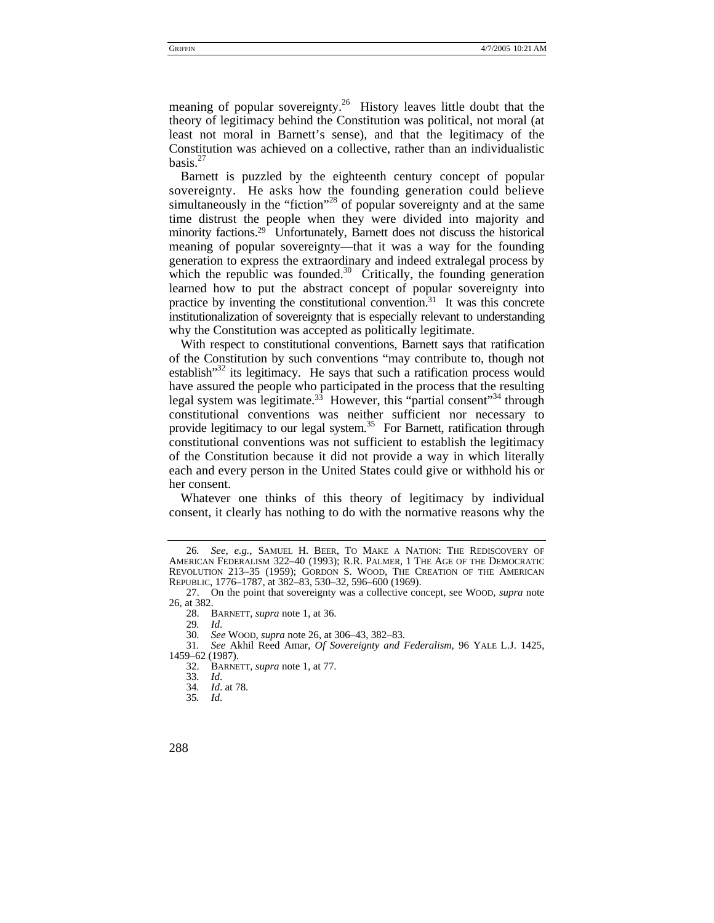meaning of popular sovereignty.<sup>26</sup> History leaves little doubt that the theory of legitimacy behind the Constitution was political, not moral (at least not moral in Barnett's sense), and that the legitimacy of the Constitution was achieved on a collective, rather than an individualistic basis. $27$ 

Barnett is puzzled by the eighteenth century concept of popular sovereignty. He asks how the founding generation could believe simultaneously in the "fiction"<sup>28</sup> of popular sovereignty and at the same time distrust the people when they were divided into majority and minority factions.<sup>29</sup> Unfortunately, Barnett does not discuss the historical meaning of popular sovereignty—that it was a way for the founding generation to express the extraordinary and indeed extralegal process by which the republic was founded.<sup>30</sup> Critically, the founding generation learned how to put the abstract concept of popular sovereignty into practice by inventing the constitutional convention.<sup>31</sup> It was this concrete institutionalization of sovereignty that is especially relevant to understanding why the Constitution was accepted as politically legitimate.

With respect to constitutional conventions, Barnett says that ratification of the Constitution by such conventions "may contribute to, though not establish $132$  its legitimacy. He says that such a ratification process would have assured the people who participated in the process that the resulting legal system was legitimate.<sup>33</sup> However, this "partial consent"<sup>34</sup> through constitutional conventions was neither sufficient nor necessary to provide legitimacy to our legal system.<sup>35</sup> For Barnett, ratification through constitutional conventions was not sufficient to establish the legitimacy of the Constitution because it did not provide a way in which literally each and every person in the United States could give or withhold his or her consent.

Whatever one thinks of this theory of legitimacy by individual consent, it clearly has nothing to do with the normative reasons why the

<span id="page-5-0"></span><sup>26</sup>*. See, e.g.*, SAMUEL H. BEER, TO MAKE A NATION: THE REDISCOVERY OF AMERICAN FEDERALISM 322–40 (1993); R.R. PALMER, 1 THE AGE OF THE DEMOCRATIC REVOLUTION 213–35 (1959); GORDON S. WOOD, THE CREATION OF THE AMERICAN REPUBLIC, 1776–1787, at 382–83, 530–32, 596–600 (1969).

<span id="page-5-1"></span><sup>27.</sup> On the point that sovereignty was a collective concept, see WOOD, *supra* note 26, at 382.

<span id="page-5-2"></span><sup>28.</sup> BARNETT, *supra* note 1, at 36.

<span id="page-5-3"></span><sup>29</sup>*. Id*.

<span id="page-5-5"></span><span id="page-5-4"></span>

<sup>30</sup>*. See* WOOD, *supra* note 26, at 306–43, 382–83. 31*. See* Akhil Reed Amar, *Of Sovereignty and Federalism*, 96 YALE L.J. 1425, 1459–62 (1987).

<span id="page-5-6"></span><sup>32.</sup> BARNETT, *supra* note 1, at 77.

<span id="page-5-7"></span><sup>33</sup>*. Id*.

<span id="page-5-8"></span><sup>34</sup>*. Id*. at 78.

<span id="page-5-9"></span><sup>35</sup>*. Id*.

<sup>288</sup>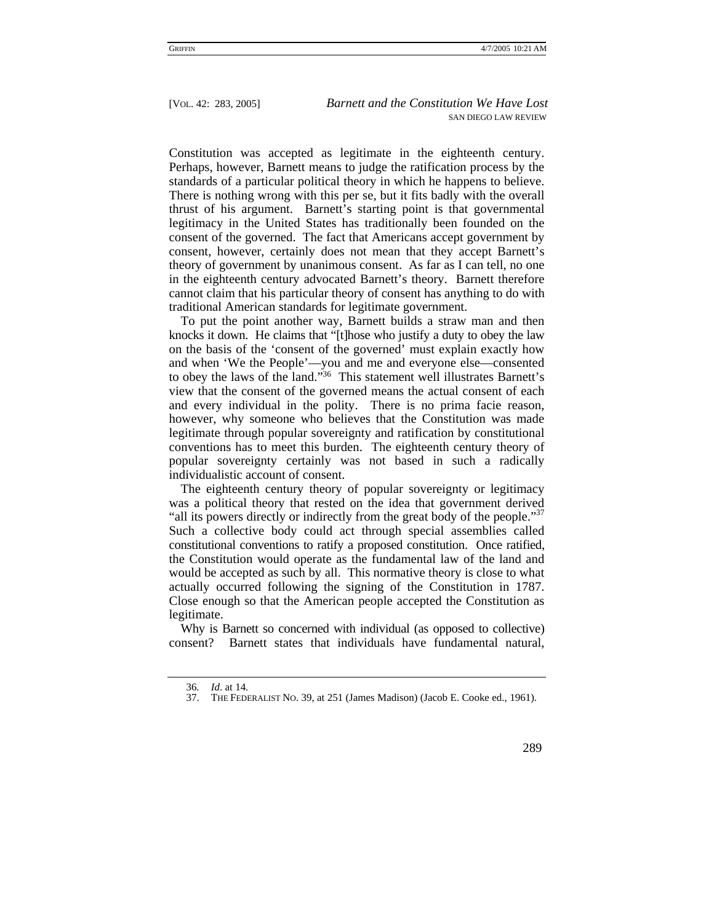Constitution was accepted as legitimate in the eighteenth century. Perhaps, however, Barnett means to judge the ratification process by the standards of a particular political theory in which he happens to believe. There is nothing wrong with this per se, but it fits badly with the overall thrust of his argument. Barnett's starting point is that governmental legitimacy in the United States has traditionally been founded on the consent of the governed. The fact that Americans accept government by consent, however, certainly does not mean that they accept Barnett's theory of government by unanimous consent. As far as I can tell, no one in the eighteenth century advocated Barnett's theory. Barnett therefore cannot claim that his particular theory of consent has anything to do with traditional American standards for legitimate government.

To put the point another way, Barnett builds a straw man and then knocks it down. He claims that "[t]hose who justify a duty to obey the law on the basis of the 'consent of the governed' must explain exactly how and when 'We the People'—you and me and everyone else—consented to obey the laws of the land.["36](#page-6-0) This statement well illustrates Barnett's view that the consent of the governed means the actual consent of each and every individual in the polity. There is no prima facie reason, however, why someone who believes that the Constitution was made legitimate through popular sovereignty and ratification by constitutional conventions has to meet this burden. The eighteenth century theory of popular sovereignty certainly was not based in such a radically individualistic account of consent.

The eighteenth century theory of popular sovereignty or legitimacy was a political theory that rested on the idea that government derived "all its powers directly or indirectly from the great body of the people."<sup>37</sup> Such a collective body could act through special assemblies called constitutional conventions to ratify a proposed constitution. Once ratified, the Constitution would operate as the fundamental law of the land and would be accepted as such by all. This normative theory is close to what actually occurred following the signing of the Constitution in 1787. Close enough so that the American people accepted the Constitution as legitimate.

Why is Barnett so concerned with individual (as opposed to collective) consent? Barnett states that individuals have fundamental natural,

<span id="page-6-0"></span><sup>36</sup>*. Id*. at 14.

<span id="page-6-1"></span><sup>37.</sup> THE FEDERALIST NO. 39, at 251 (James Madison) (Jacob E. Cooke ed., 1961).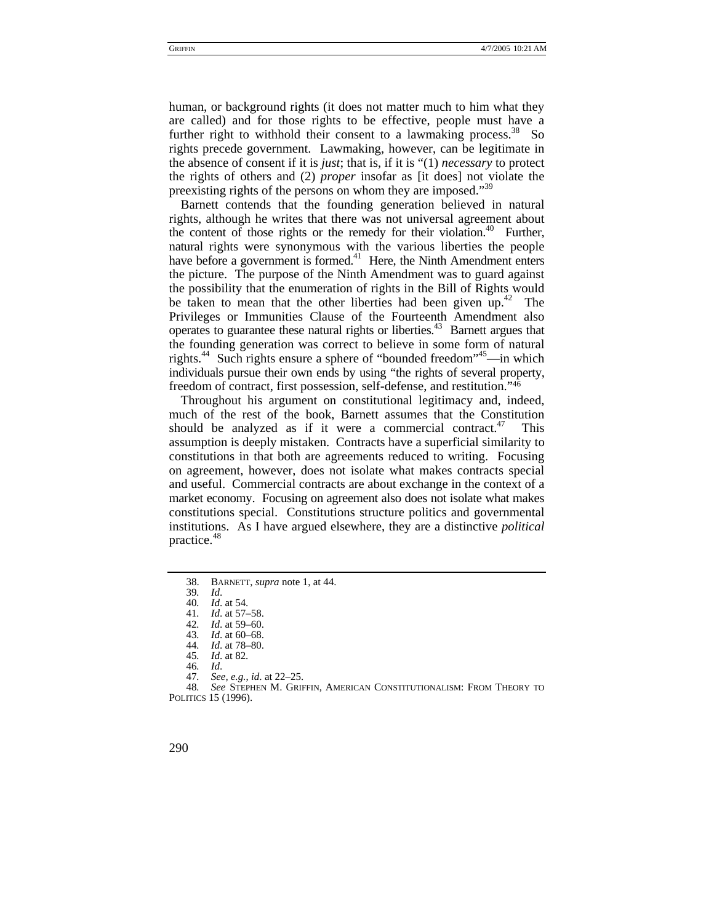human, or background rights (it does not matter much to him what they are called) and for those rights to be effective, people must have a further right to withhold their consent to a lawmaking process.<sup>38</sup> So rights precede government. Lawmaking, however, can be legitimate in the absence of consent if it is *just*; that is, if it is "(1) *necessary* to protect the rights of others and (2) *proper* insofar as [it does] not violate the preexisting rights of the persons on whom they are imposed."<sup>[39](#page-7-1)</sup>

Barnett contends that the founding generation believed in natural rights, although he writes that there was not universal agreement about the content of those rights or the remedy for their violation.<sup>40</sup> Further, natural rights were synonymous with the various liberties the people have before a government is formed.<sup>41</sup> Here, the Ninth Amendment enters the picture. The purpose of the Ninth Amendment was to guard against the possibility that the enumeration of rights in the Bill of Rights would be taken to mean that the other liberties had been given up.<sup>42</sup> The Privileges or Immunities Clause of the Fourteenth Amendment also operates to guarantee these natural rights or liberties.[43](#page-7-5) Barnett argues that the founding generation was correct to believe in some form of natural rights.<sup>44</sup> Such rights ensure a sphere of "bounded freedom"<sup>45</sup>—in which individuals pursue their own ends by using "the rights of several property, freedom of contract, first possession, self-defense, and restitution."[46](#page-7-8)

Throughout his argument on constitutional legitimacy and, indeed, much of the rest of the book, Barnett assumes that the Constitution should be analyzed as if it were a commercial contract.<sup>47</sup> This assumption is deeply mistaken. Contracts have a superficial similarity to constitutions in that both are agreements reduced to writing. Focusing on agreement, however, does not isolate what makes contracts special and useful. Commercial contracts are about exchange in the context of a market economy. Focusing on agreement also does not isolate what makes constitutions special. Constitutions structure politics and governmental institutions. As I have argued elsewhere, they are a distinctive *political* practice.<sup>[48](#page-7-10)</sup>

<sup>48</sup>*. See* STEPHEN M. GRIFFIN, AMERICAN CONSTITUTIONALISM: FROM THEORY TO POLITICS 15 (1996).



<span id="page-7-0"></span><sup>38.</sup> BARNETT, *supra* note 1, at 44.

<span id="page-7-1"></span><sup>39</sup>*. Id*.

<span id="page-7-2"></span><sup>40</sup>*. Id*. at 54.

<span id="page-7-3"></span><sup>41</sup>*. Id*. at 57–58.

<span id="page-7-4"></span><sup>42</sup>*. Id*. at 59–60.

<span id="page-7-5"></span>*Id.* at 60–68.

<span id="page-7-6"></span><sup>44</sup>*. Id*. at 78–80. *Id.* at 82.

<span id="page-7-7"></span>

<span id="page-7-8"></span><sup>46</sup>*. Id*.

<span id="page-7-10"></span><span id="page-7-9"></span><sup>47</sup>*. See, e.g.*, *id*. at 22–25.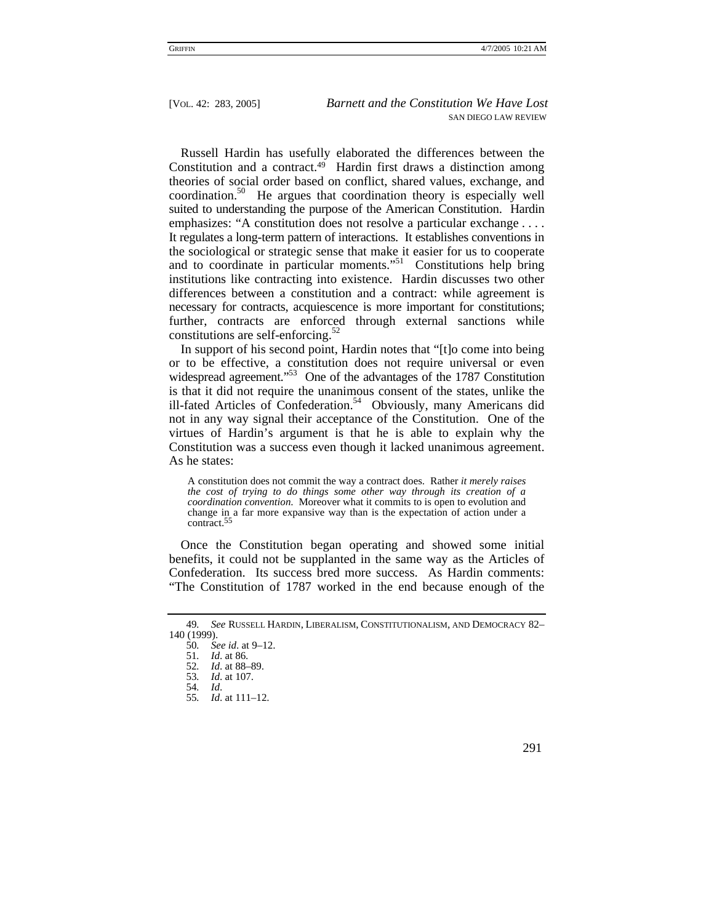Russell Hardin has usefully elaborated the differences between the Constitution and a contract.<sup>49</sup> Hardin first draws a distinction among theories of social order based on conflict, shared values, exchange, and coordination.[50](#page-8-1) He argues that coordination theory is especially well suited to understanding the purpose of the American Constitution. Hardin emphasizes: "A constitution does not resolve a particular exchange .... It regulates a long-term pattern of interactions. It establishes conventions in the sociological or strategic sense that make it easier for us to cooperate and to coordinate in particular moments."<sup>51</sup> Constitutions help bring institutions like contracting into existence. Hardin discusses two other differences between a constitution and a contract: while agreement is necessary for contracts, acquiescence is more important for constitutions; further, contracts are enforced through external sanctions while constitutions are self-enforcing. $52$ 

In support of his second point, Hardin notes that "[t]o come into being or to be effective, a constitution does not require universal or even widespread agreement."<sup>53</sup> One of the advantages of the 1787 Constitution is that it did not require the unanimous consent of the states, unlike the ill-fated Articles of Confederation.<sup>54</sup> Obviously, many Americans did not in any way signal their acceptance of the Constitution. One of the virtues of Hardin's argument is that he is able to explain why the Constitution was a success even though it lacked unanimous agreement. As he states:

A constitution does not commit the way a contract does. Rather *it merely raises the cost of trying to do things some other way through its creation of a coordination convention*. Moreover what it commits to is open to evolution and change in a far more expansive way than is the expectation of action under a contract[.](#page-8-6)55

Once the Constitution began operating and showed some initial benefits, it could not be supplanted in the same way as the Articles of Confederation. Its success bred more success. As Hardin comments: "The Constitution of 1787 worked in the end because enough of the

<sup>55</sup>*. Id*. at 111–12.



<span id="page-8-0"></span><sup>49</sup>*. See* RUSSELL HARDIN, LIBERALISM, CONSTITUTIONALISM, AND DEMOCRACY 82– 140 (1999).

<span id="page-8-1"></span><sup>50</sup>*. See id*. at 9–12.

<span id="page-8-2"></span><sup>51</sup>*. Id*. at 86.

<span id="page-8-3"></span><sup>52</sup>*. Id*. at 88–89.

<span id="page-8-4"></span><sup>53</sup>*. Id*. at 107.

<span id="page-8-6"></span><span id="page-8-5"></span><sup>54</sup>*. Id*.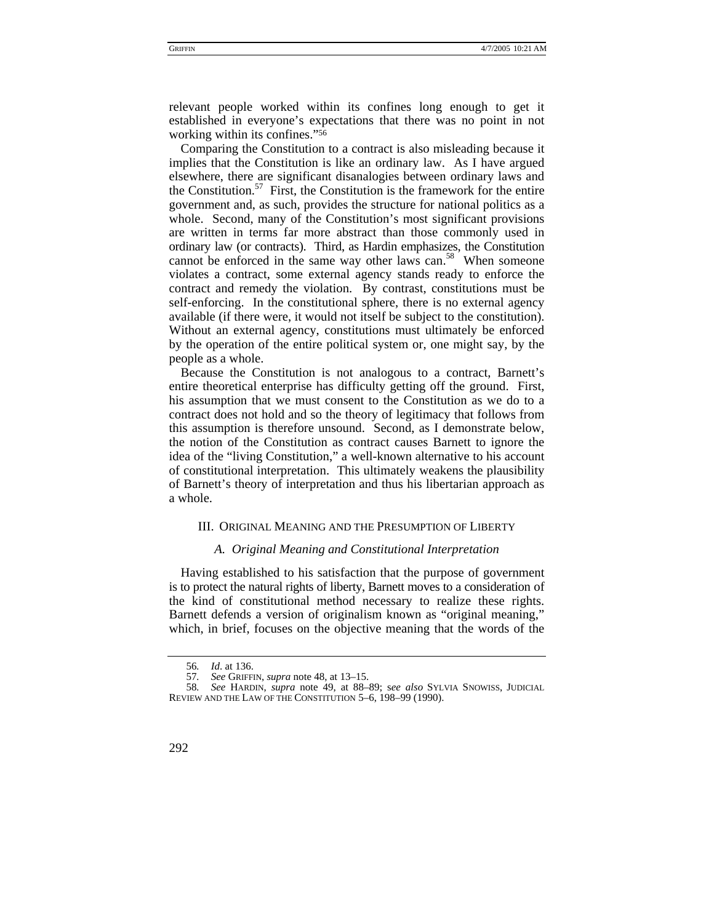relevant people worked within its confines long enough to get it established in everyone's expectations that there was no point in not working within its confines."[56](#page-9-0)

Comparing the Constitution to a contract is also misleading because it implies that the Constitution is like an ordinary law. As I have argued elsewhere, there are significant disanalogies between ordinary laws and the Constitution.<sup>57</sup> First, the Constitution is the framework for the entire government and, as such, provides the structure for national politics as a whole. Second, many of the Constitution's most significant provisions are written in terms far more abstract than those commonly used in ordinary law (or contracts). Third, as Hardin emphasizes, the Constitution cannot be enforced in the same way other laws can.<sup>58</sup> When someone violates a contract, some external agency stands ready to enforce the contract and remedy the violation. By contrast, constitutions must be self-enforcing. In the constitutional sphere, there is no external agency available (if there were, it would not itself be subject to the constitution). Without an external agency, constitutions must ultimately be enforced by the operation of the entire political system or, one might say, by the people as a whole.

Because the Constitution is not analogous to a contract, Barnett's entire theoretical enterprise has difficulty getting off the ground. First, his assumption that we must consent to the Constitution as we do to a contract does not hold and so the theory of legitimacy that follows from this assumption is therefore unsound. Second, as I demonstrate below, the notion of the Constitution as contract causes Barnett to ignore the idea of the "living Constitution," a well-known alternative to his account of constitutional interpretation. This ultimately weakens the plausibility of Barnett's theory of interpretation and thus his libertarian approach as a whole.

#### III. ORIGINAL MEANING AND THE PRESUMPTION OF LIBERTY

# *A. Original Meaning and Constitutional Interpretation*

Having established to his satisfaction that the purpose of government is to protect the natural rights of liberty, Barnett moves to a consideration of the kind of constitutional method necessary to realize these rights. Barnett defends a version of originalism known as "original meaning," which, in brief, focuses on the objective meaning that the words of the

<sup>58</sup>*. See* HARDIN, *supra* note 49, at 88–89; s*ee also* SYLVIA SNOWISS, JUDICIAL REVIEW AND THE LAW OF THE CONSTITUTION 5–6, 198–99 (1990).



<span id="page-9-0"></span><sup>56</sup>*. Id*. at 136.

<span id="page-9-2"></span><span id="page-9-1"></span><sup>57</sup>*. See* GRIFFIN, *supra* note 48, at 13–15.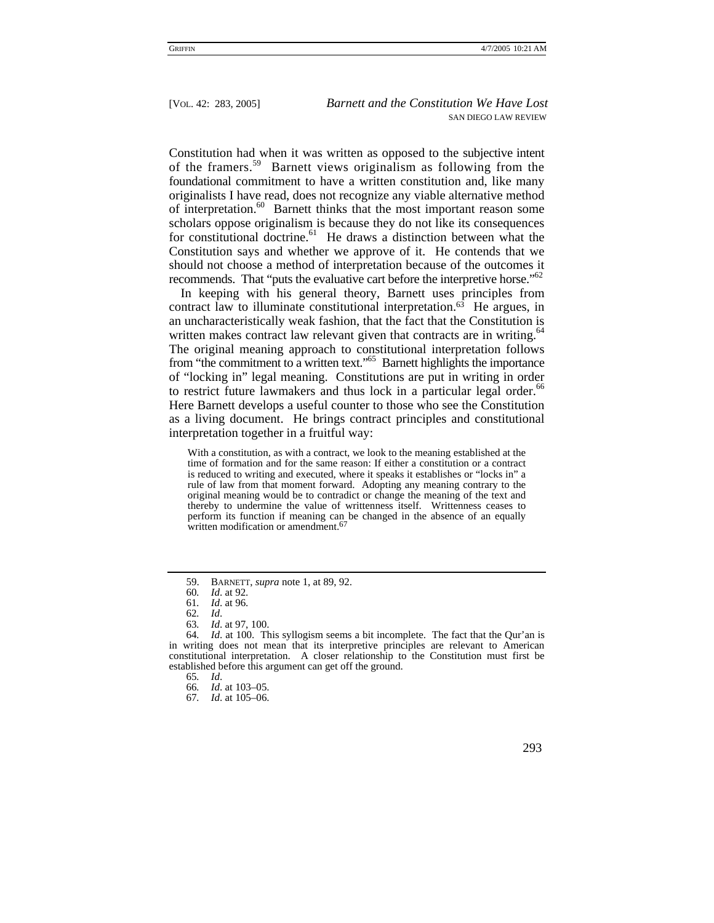Constitution had when it was written as opposed to the subjective intent of the framers.[59](#page-10-0) Barnett views originalism as following from the foundational commitment to have a written constitution and, like many originalists I have read, does not recognize any viable alternative method of interpretation.<sup>60</sup> Barnett thinks that the most important reason some scholars oppose originalism is because they do not like its consequences for constitutional doctrine. $61$  He draws a distinction between what the Constitution says and whether we approve of it. He contends that we should not choose a method of interpretation because of the outcomes it recommends. That "puts the evaluative cart before the interpretive horse."<sup>[62](#page-10-3)</sup>

In keeping with his general theory, Barnett uses principles from contract law to illuminate constitutional interpretation. $63$  He argues, in an uncharacteristically weak fashion, that the fact that the Constitution is written makes contract law relevant given that contracts are in writing.<sup>64</sup> The original meaning approach to constitutional interpretation follows from "the commitment to a written text."[65](#page-10-6) Barnett highlights the importance of "locking in" legal meaning. Constitutions are put in writing in order to restrict future lawmakers and thus lock in a particular legal order.<sup>66</sup> Here Barnett develops a useful counter to those who see the Constitution as a living document. He brings contract principles and constitutional interpretation together in a fruitful way:

With a constitution, as with a contract, we look to the meaning established at the time of formation and for the same reason: If either a constitution or a contract is reduced to writing and executed, where it speaks it establishes or "locks in" a rule of law from that moment forward. Adopting any meaning contrary to the original meaning would be to contradict or change the meaning of the text and thereby to undermine the value of writtenness itself. Writtenness ceases to perform its function if meaning can be changed in the absence of an equally written modification or amendment[.](#page-10-8)<sup>67</sup>

<sup>67</sup>*. Id*. at 105–06.



<span id="page-10-0"></span><sup>59.</sup> BARNETT, *supra* note 1, at 89, 92.

<span id="page-10-1"></span><sup>60</sup>*. Id*. at 92.

<span id="page-10-2"></span><sup>61</sup>*. Id*. at 96.

<span id="page-10-3"></span><sup>62</sup>*. Id*.

<span id="page-10-5"></span><span id="page-10-4"></span><sup>63</sup>*. Id*. at 97, 100.

<sup>64</sup>*. Id*. at 100. This syllogism seems a bit incomplete. The fact that the Qur'an is in writing does not mean that its interpretive principles are relevant to American constitutional interpretation. A closer relationship to the Constitution must first be established before this argument can get off the ground.

<span id="page-10-6"></span><sup>65</sup>*. Id*.

<span id="page-10-8"></span><span id="page-10-7"></span><sup>66</sup>*. Id*. at 103–05.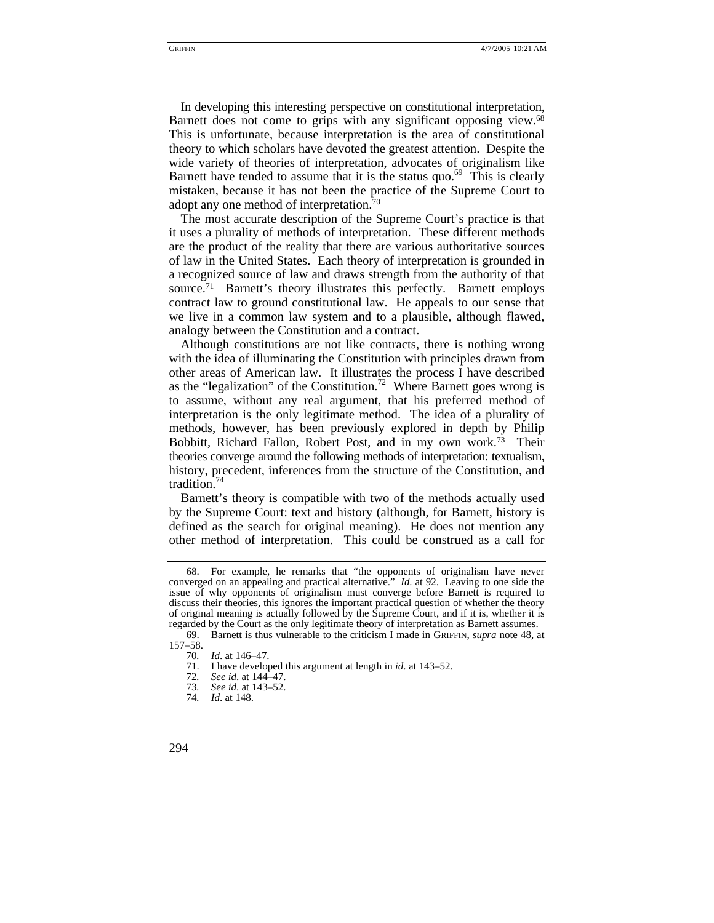In developing this interesting perspective on constitutional interpretation, Barnett does not come to grips with any significant opposing view.<sup>68</sup><br>This is unfortunate, because interpretation is the area of constitutional theory to which scholars have devoted the greatest attention. Despite the wide variety of theories of interpretation, advocates of originalism like Barnett have tended to assume that it is the status quo. $69$  This is clearly mistaken, because it has not been the practice of the Supreme Court to adopt any one method of interpretation[.70](#page-11-2)

The most accurate description of the Supreme Court's practice is that it uses a plurality of methods of interpretation. These different methods are the product of the reality that there are various authoritative sources of law in the United States. Each theory of interpretation is grounded in a recognized source of law and draws strength from the authority of that source.[71](#page-11-3) Barnett's theory illustrates this perfectly. Barnett employs contract law to ground constitutional law. He appeals to our sense that we live in a common law system and to a plausible, although flawed, analogy between the Constitution and a contract.

Although constitutions are not like contracts, there is nothing wrong with the idea of illuminating the Constitution with principles drawn from other areas of American law. It illustrates the process I have described as the "legalization" of the Constitution.<sup>72</sup> Where Barnett goes wrong is to assume, without any real argument, that his preferred method of interpretation is the only legitimate method. The idea of a plurality of methods, however, has been previously explored in depth by Philip Bobbitt, Richard Fallon, Robert Post, and in my own work[.73](#page-11-5) Their theories converge around the following methods of interpretation: textualism, history, precedent, inferences from the structure of the Constitution, and tradition.<sup>74</sup>

Barnett's theory is compatible with two of the methods actually used by the Supreme Court: text and history (although, for Barnett, history is defined as the search for original meaning). He does not mention any other method of interpretation. This could be construed as a call for

<span id="page-11-0"></span><sup>68.</sup> For example, he remarks that "the opponents of originalism have never converged on an appealing and practical alternative." *Id*. at 92. Leaving to one side the issue of why opponents of originalism must converge before Barnett is required to discuss their theories, this ignores the important practical question of whether the theory of original meaning is actually followed by the Supreme Court, and if it is, whether it is regarded by the Court as the only legitimate theory of interpretation as Barnett assumes.

<span id="page-11-1"></span><sup>69.</sup> Barnett is thus vulnerable to the criticism I made in GRIFFIN, *supra* note 48, at 157–58.

<span id="page-11-2"></span><sup>70</sup>*. Id*. at 146–47.

<span id="page-11-3"></span><sup>71.</sup> I have developed this argument at length in *id*. at 143–52.

<span id="page-11-4"></span><sup>72</sup>*. See id*. at 144–47.

<span id="page-11-5"></span><sup>73</sup>*. See id*. at 143–52.

<span id="page-11-6"></span><sup>74</sup>*. Id*. at 148.

<sup>294</sup>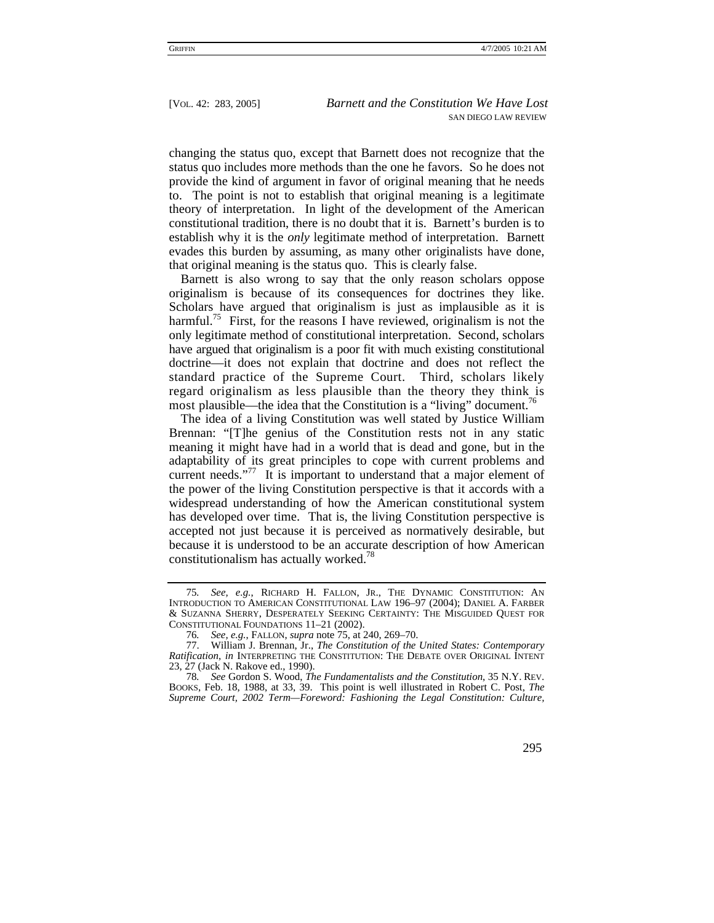changing the status quo, except that Barnett does not recognize that the status quo includes more methods than the one he favors. So he does not provide the kind of argument in favor of original meaning that he needs to. The point is not to establish that original meaning is a legitimate theory of interpretation. In light of the development of the American constitutional tradition, there is no doubt that it is. Barnett's burden is to establish why it is the *only* legitimate method of interpretation. Barnett evades this burden by assuming, as many other originalists have done, that original meaning is the status quo. This is clearly false.

Barnett is also wrong to say that the only reason scholars oppose originalism is because of its consequences for doctrines they like. Scholars have argued that originalism is just as implausible as it is harmful.<sup>75</sup> First, for the reasons I have reviewed, originalism is not the only legitimate method of constitutional interpretation. Second, scholars have argued that originalism is a poor fit with much existing constitutional doctrine—it does not explain that doctrine and does not reflect the standard practice of the Supreme Court. Third, scholars likely regard originalism as less plausible than the theory they think is most plausible—the idea that the Constitution is a "living" document.<sup>[76](#page-12-1)</sup>

The idea of a living Constitution was well stated by Justice William Brennan: "[T]he genius of the Constitution rests not in any static meaning it might have had in a world that is dead and gone, but in the adaptability of its great principles to cope with current problems and current needs."<sup>77</sup> It is important to understand that a major element of the power of the living Constitution perspective is that it accords with a widespread understanding of how the American constitutional system has developed over time. That is, the living Constitution perspective is accepted not just because it is perceived as normatively desirable, but because it is understood to be an accurate description of how American constitutionalism has actually worked.<sup>[78](#page-12-3)</sup>

<span id="page-12-0"></span><sup>75</sup>*. See, e.g.*, RICHARD H. FALLON, JR., THE DYNAMIC CONSTITUTION: AN INTRODUCTION TO AMERICAN CONSTITUTIONAL LAW 196–97 (2004); DANIEL A. FARBER & SUZANNA SHERRY, DESPERATELY SEEKING CERTAINTY: THE MISGUIDED QUEST FOR CONSTITUTIONAL FOUNDATIONS 11–21 (2002).

<span id="page-12-2"></span><span id="page-12-1"></span><sup>76</sup>*. See, e.g.*, FALLON, *supra* note 75, at 240, 269–70.

<sup>77.</sup> William J. Brennan, Jr., *The Constitution of the United States: Contemporary Ratification*, *in* INTERPRETING THE CONSTITUTION: THE DEBATE OVER ORIGINAL INTENT 23, 27 (Jack N. Rakove ed., 1990).

<span id="page-12-3"></span><sup>78</sup>*. See* Gordon S. Wood, *The Fundamentalists and the Constitution*, 35 N.Y. REV. BOOKS, Feb. 18, 1988, at 33, 39. This point is well illustrated in Robert C. Post, *The Supreme Court, 2002 Term—Foreword: Fashioning the Legal Constitution: Culture,*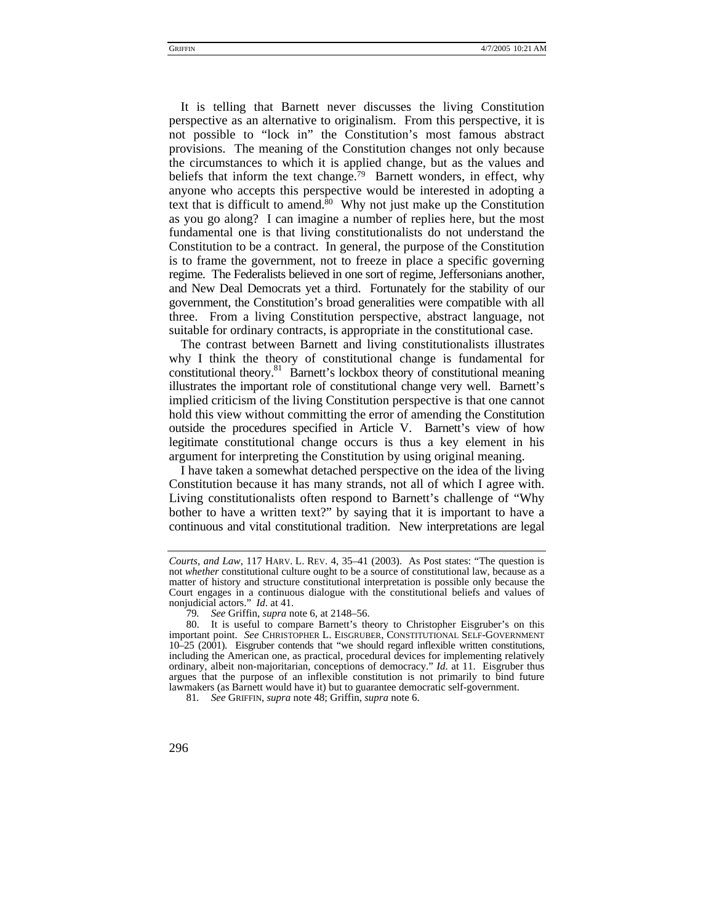It is telling that Barnett never discusses the living Constitution perspective as an alternative to originalism. From this perspective, it is not possible to "lock in" the Constitution's most famous abstract provisions. The meaning of the Constitution changes not only because the circumstances to which it is applied change, but as the values and beliefs that inform the text change.<sup>79</sup> Barnett wonders, in effect, why anyone who accepts this perspective would be interested in adopting a text that is difficult to amend. $80$  Why not just make up the Constitution as you go along? I can imagine a number of replies here, but the most fundamental one is that living constitutionalists do not understand the Constitution to be a contract. In general, the purpose of the Constitution is to frame the government, not to freeze in place a specific governing regime. The Federalists believed in one sort of regime, Jeffersonians another, and New Deal Democrats yet a third. Fortunately for the stability of our government, the Constitution's broad generalities were compatible with all three. From a living Constitution perspective, abstract language, not suitable for ordinary contracts, is appropriate in the constitutional case.

The contrast between Barnett and living constitutionalists illustrates why I think the theory of constitutional change is fundamental for constitutional theory.<sup>81</sup> Barnett's lockbox theory of constitutional meaning illustrates the important role of constitutional change very well. Barnett's implied criticism of the living Constitution perspective is that one cannot hold this view without committing the error of amending the Constitution outside the procedures specified in Article V. Barnett's view of how legitimate constitutional change occurs is thus a key element in his argument for interpreting the Constitution by using original meaning.

I have taken a somewhat detached perspective on the idea of the living Constitution because it has many strands, not all of which I agree with. Living constitutionalists often respond to Barnett's challenge of "Why bother to have a written text?" by saying that it is important to have a continuous and vital constitutional tradition. New interpretations are legal

<span id="page-13-2"></span>81*. See* GRIFFIN, *supra* note 48; Griffin, *supra* note 6.

*Courts, and Law*, 117 HARV. L. REV. 4, 35–41 (2003). As Post states: "The question is not *whether* constitutional culture ought to be a source of constitutional law, because as a matter of history and structure constitutional interpretation is possible only because the Court engages in a continuous dialogue with the constitutional beliefs and values of nonjudicial actors." *Id*. at 41.

<span id="page-13-1"></span><span id="page-13-0"></span><sup>79</sup>*. See* Griffin, *supra* note 6, at 2148–56.

<sup>80.</sup> It is useful to compare Barnett's theory to Christopher Eisgruber's on this important point. *See* CHRISTOPHER L. EISGRUBER, CONSTITUTIONAL SELF-GOVERNMENT 10–25 (2001). Eisgruber contends that "we should regard inflexible written constitutions, including the American one, as practical, procedural devices for implementing relatively ordinary, albeit non-majoritarian, conceptions of democracy." *Id*. at 11. Eisgruber thus argues that the purpose of an inflexible constitution is not primarily to bind future lawmakers (as Barnett would have it) but to guarantee democratic self-government.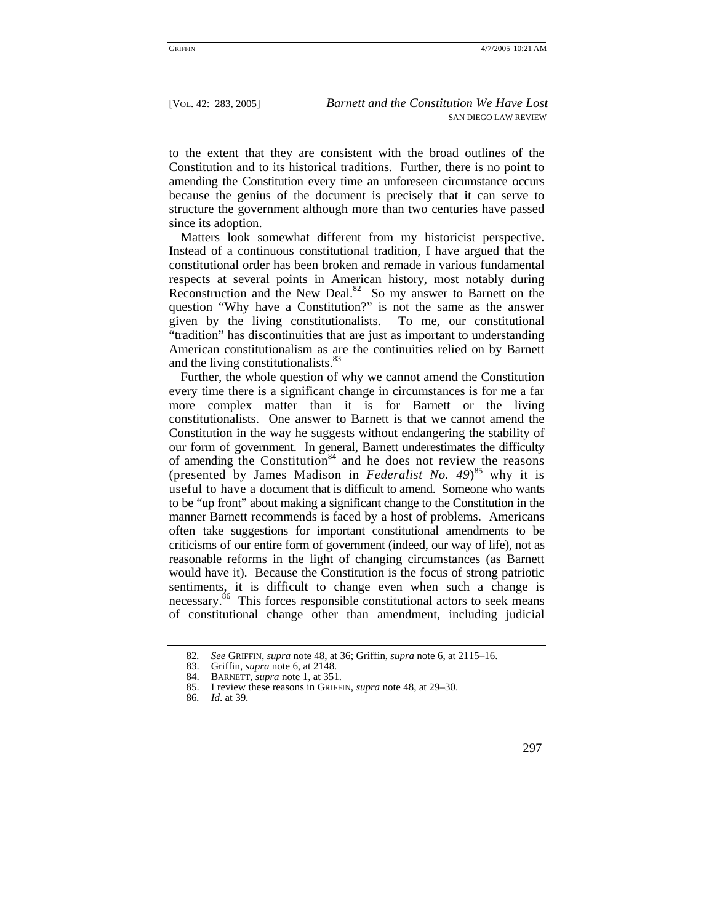to the extent that they are consistent with the broad outlines of the Constitution and to its historical traditions. Further, there is no point to amending the Constitution every time an unforeseen circumstance occurs because the genius of the document is precisely that it can serve to structure the government although more than two centuries have passed since its adoption.

Matters look somewhat different from my historicist perspective. Instead of a continuous constitutional tradition, I have argued that the constitutional order has been broken and remade in various fundamental respects at several points in American history, most notably during Reconstruction and the New Deal.<sup>82</sup> So my answer to Barnett on the question "Why have a Constitution?" is not the same as the answer given by the living constitutionalists. To me, our constitutional "tradition" has discontinuities that are just as important to understanding American constitutionalism as are the continuities relied on by Barnett and the living constitutionalists.<sup>[83](#page-14-1)</sup>

Further, the whole question of why we cannot amend the Constitution every time there is a significant change in circumstances is for me a far more complex matter than it is for Barnett or the living constitutionalists. One answer to Barnett is that we cannot amend the Constitution in the way he suggests without endangering the stability of our form of government. In general, Barnett underestimates the difficulty of amending the Constitution<sup>84</sup> and he does not review the reasons (presented by James Madison in *Federalist No. 49*) [85](#page-14-3) why it is useful to have a document that is difficult to amend. Someone who wants to be "up front" about making a significant change to the Constitution in the manner Barnett recommends is faced by a host of problems. Americans often take suggestions for important constitutional amendments to be criticisms of our entire form of government (indeed, our way of life), not as reasonable reforms in the light of changing circumstances (as Barnett would have it). Because the Constitution is the focus of strong patriotic sentiments, it is difficult to change even when such a change is necessary.[86](#page-14-4) This forces responsible constitutional actors to seek means of constitutional change other than amendment, including judicial

<span id="page-14-0"></span><sup>82</sup>*. See* GRIFFIN, *supra* note 48, at 36; Griffin, *supra* note 6, at 2115–16.

<span id="page-14-1"></span><sup>83.</sup> Griffin, *supra* note 6, at 2148.

<span id="page-14-2"></span><sup>84.</sup> BARNETT, *supra* note 1, at 351.

<span id="page-14-3"></span><sup>85.</sup> I review these reasons in GRIFFIN, *supra* note 48, at 29–30.

<span id="page-14-4"></span><sup>86</sup>*. Id*. at 39.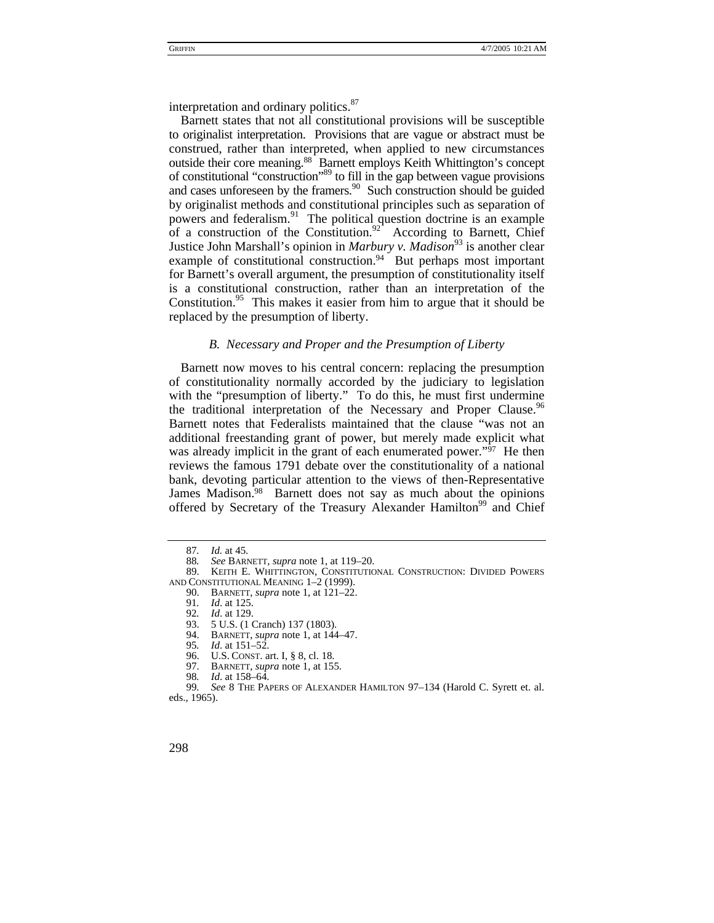interpretation and ordinary politics.<sup>[87](#page-15-0)</sup>

Barnett states that not all constitutional provisions will be susceptible to originalist interpretation. Provisions that are vague or abstract must be construed, rather than interpreted, when applied to new circumstances outside their core meaning.[88](#page-15-1) Barnett employs Keith Whittington's concept of constitutional "construction"[89](#page-15-2) to fill in the gap between vague provisions and cases unforeseen by the framers.<sup>90</sup> Such construction should be guided by originalist methods and constitutional principles such as separation of powers and federalism.<sup>91</sup> The political question doctrine is an example of a construction of the Constitution.<sup>92</sup> According to Barnett, Chief Justice John Marshall's opinion in *Marbury v. Madison*<sup>93</sup> is another clear example of constitutional construction.<sup>94</sup> But perhaps most important for Barnett's overall argument, the presumption of constitutionality itself is a constitutional construction, rather than an interpretation of the Constitution.<sup>95</sup> This makes it easier from him to argue that it should be replaced by the presumption of liberty.

## *B. Necessary and Proper and the Presumption of Liberty*

Barnett now moves to his central concern: replacing the presumption of constitutionality normally accorded by the judiciary to legislation with the "presumption of liberty." To do this, he must first undermine the traditional interpretation of the Necessary and Proper Clause.<sup>96</sup> Barnett notes that Federalists maintained that the clause "was not an additional freestanding grant of power, but merely made explicit what was already implicit in the grant of each enumerated power." $\frac{97}{7}$  $\frac{97}{7}$  $\frac{97}{7}$  He then reviews the famous 1791 debate over the constitutionality of a national bank, devoting particular attention to the views of then-Representative James Madison.<sup>98</sup> Barnett does not say as much about the opinions offered by Secretary of the Treasury Alexander Hamilton<sup>99</sup> and Chief

<span id="page-15-0"></span><sup>87.</sup> *Id.* at 45.<br>88. *See* BARN

<span id="page-15-2"></span><span id="page-15-1"></span><sup>88</sup>*. See* BARNETT, *supra* note 1, at 119–20.

<sup>89.</sup> KEITH E. WHITTINGTON, CONSTITUTIONAL CONSTRUCTION: DIVIDED POWERS AND CONSTITUTIONAL MEANING 1–2 (1999).

<span id="page-15-3"></span><sup>90.</sup> BARNETT, *supra* note 1, at 121–22. 91*. Id*. at 125.

<span id="page-15-4"></span>

<span id="page-15-5"></span><sup>92</sup>*. Id*. at 129.

<span id="page-15-6"></span><sup>93. 5</sup> U.S. (1 Cranch) 137 (1803).<br>94. BARNETT, *supra* note 1, at 144

<span id="page-15-7"></span><sup>94.</sup> BARNETT, *supra* note 1, at 144–47.<br>95. *Id.* at 151–52.

<span id="page-15-8"></span><sup>95</sup>*. Id*. at 151–52.

<span id="page-15-9"></span>U.S. CONST. art. I, § 8, cl. 18.

<span id="page-15-10"></span><sup>97.</sup> BARNETT, *supra* note 1, at 155.

<span id="page-15-12"></span><span id="page-15-11"></span><sup>98</sup>*. Id*. at 158–64.

<sup>99</sup>*. See* 8 THE PAPERS OF ALEXANDER HAMILTON 97–134 (Harold C. Syrett et. al. eds., 1965).

<sup>298</sup>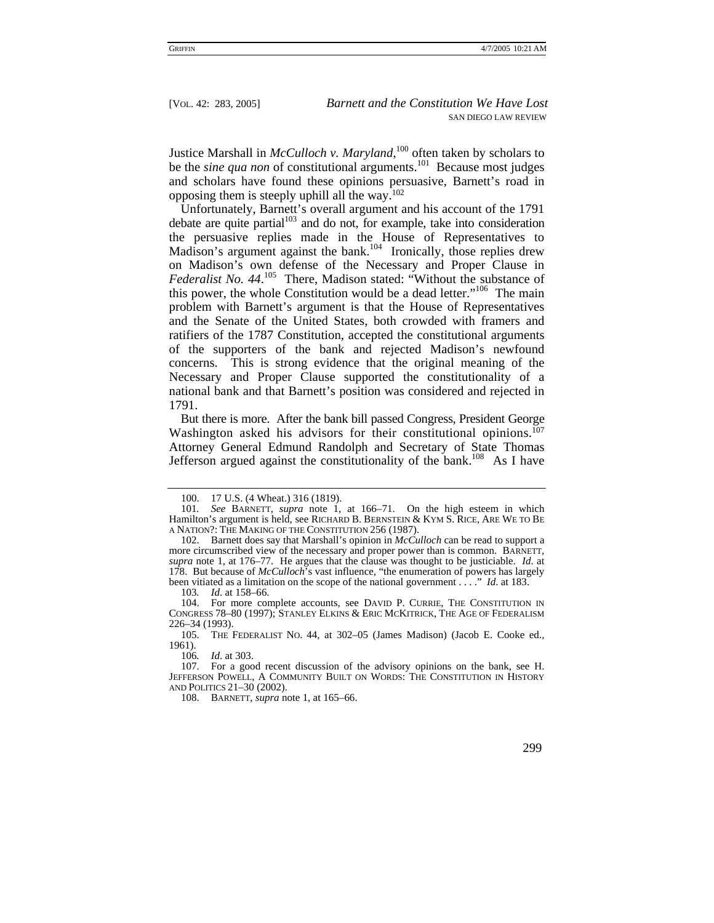Justice Marshall in *McCulloch v. Maryland*, [100](#page-16-0) often taken by scholars to be the *sine qua non* of constitutional arguments.<sup>101</sup> Because most judges and scholars have found these opinions persuasive, Barnett's road in opposing them is steeply uphill all the way.[102](#page-16-2)

Unfortunately, Barnett's overall argument and his account of the 1791 debate are quite partial $103$  and do not, for example, take into consideration the persuasive replies made in the House of Representatives to Madison's argument against the bank.<sup>104</sup> Ironically, those replies drew on Madison's own defense of the Necessary and Proper Clause in *Federalist No. 44*. [105](#page-16-5) There, Madison stated: "Without the substance of this power, the whole Constitution would be a dead letter."<sup>106</sup> The main problem with Barnett's argument is that the House of Representatives and the Senate of the United States, both crowded with framers and ratifiers of the 1787 Constitution, accepted the constitutional arguments of the supporters of the bank and rejected Madison's newfound concerns. This is strong evidence that the original meaning of the Necessary and Proper Clause supported the constitutionality of a national bank and that Barnett's position was considered and rejected in 1791.

But there is more. After the bank bill passed Congress, President George Washington asked his advisors for their constitutional opinions.<sup>[107](#page-16-7)</sup> Attorney General Edmund Randolph and Secretary of State Thomas Jefferson argued against the constitutionality of the bank.<sup>108</sup> As I have

<span id="page-16-4"></span><span id="page-16-3"></span>103*. Id*. at 158–66.

104. For more complete accounts, see DAVID P. CURRIE, THE CONSTITUTION IN CONGRESS 78–80 (1997); STANLEY ELKINS & ERIC MCKITRICK, THE AGE OF FEDERALISM 226–34 (1993).

<span id="page-16-5"></span>105. THE FEDERALIST NO. 44, at 302–05 (James Madison) (Jacob E. Cooke ed., 1961).

<span id="page-16-7"></span><span id="page-16-6"></span>106*. Id*. at 303.

<span id="page-16-8"></span>108. BARNETT, *supra* note 1, at 165–66.

<span id="page-16-1"></span><span id="page-16-0"></span><sup>100. 17</sup> U.S. (4 Wheat.) 316 (1819).

<sup>101</sup>*. See* BARNETT, *supra* note 1, at 166–71. On the high esteem in which Hamilton's argument is held, see RICHARD B. BERNSTEIN & KYM S. RICE, ARE WE TO BE A NATION?: THE MAKING OF THE CONSTITUTION 256 (1987).

<span id="page-16-2"></span><sup>102.</sup> Barnett does say that Marshall's opinion in *McCulloch* can be read to support a more circumscribed view of the necessary and proper power than is common. BARNETT, *supra* note 1, at 176–77. He argues that the clause was thought to be justiciable. *Id*. at 178. But because of *McCulloch*'s vast influence, "the enumeration of powers has largely been vitiated as a limitation on the scope of the national government . . . ." *Id*. at 183.

<sup>107.</sup> For a good recent discussion of the advisory opinions on the bank, see H. JEFFERSON POWELL, A COMMUNITY BUILT ON WORDS: THE CONSTITUTION IN HISTORY AND POLITICS 21–30 (2002).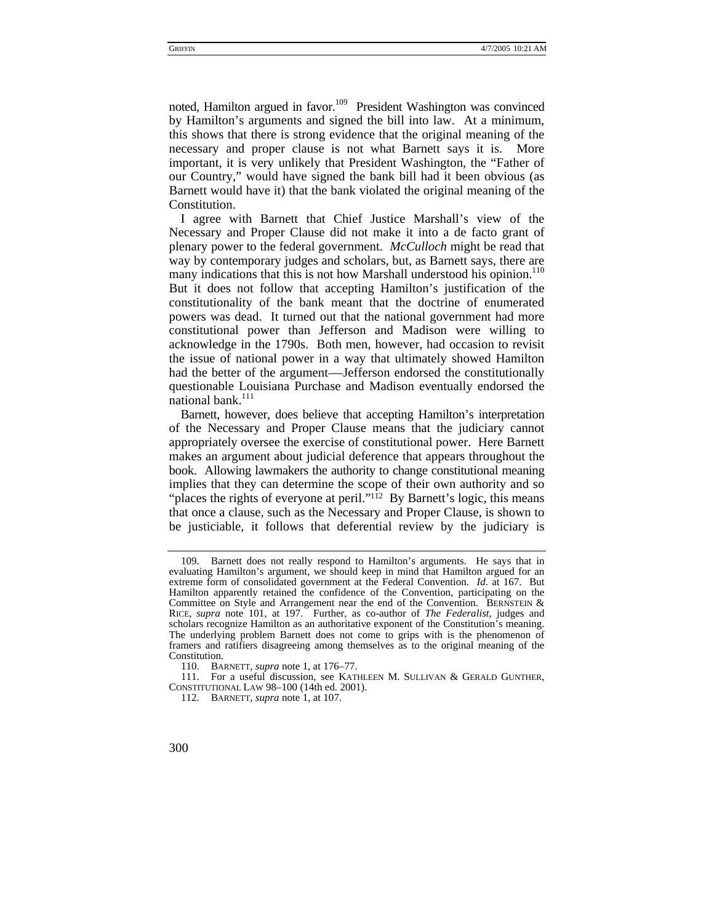noted, Hamilton argued in favor.<sup>109</sup> President Washington was convinced by Hamilton's arguments and signed the bill into law. At a minimum, this shows that there is strong evidence that the original meaning of the necessary and proper clause is not what Barnett says it is. More important, it is very unlikely that President Washington, the "Father of our Country," would have signed the bank bill had it been obvious (as Barnett would have it) that the bank violated the original meaning of the Constitution.

I agree with Barnett that Chief Justice Marshall's view of the Necessary and Proper Clause did not make it into a de facto grant of plenary power to the federal government. *McCulloch* might be read that way by contemporary judges and scholars, but, as Barnett says, there are many indications that this is not how Marshall understood his opinion.<sup>110</sup> But it does not follow that accepting Hamilton's justification of the constitutionality of the bank meant that the doctrine of enumerated powers was dead. It turned out that the national government had more constitutional power than Jefferson and Madison were willing to acknowledge in the 1790s. Both men, however, had occasion to revisit the issue of national power in a way that ultimately showed Hamilton had the better of the argument—Jefferson endorsed the constitutionally questionable Louisiana Purchase and Madison eventually endorsed the national bank. $^{111}$  $^{111}$  $^{111}$ 

Barnett, however, does believe that accepting Hamilton's interpretation of the Necessary and Proper Clause means that the judiciary cannot appropriately oversee the exercise of constitutional power. Here Barnett makes an argument about judicial deference that appears throughout the book. Allowing lawmakers the authority to change constitutional meaning implies that they can determine the scope of their own authority and so "places the rights of everyone at peril." $\frac{1}{2}$  By Barnett's logic, this means that once a clause, such as the Necessary and Proper Clause, is shown to be justiciable, it follows that deferential review by the judiciary is

<span id="page-17-0"></span><sup>109.</sup> Barnett does not really respond to Hamilton's arguments. He says that in evaluating Hamilton's argument, we should keep in mind that Hamilton argued for an extreme form of consolidated government at the Federal Convention. *Id*. at 167. But Hamilton apparently retained the confidence of the Convention, participating on the Committee on Style and Arrangement near the end of the Convention. BERNSTEIN & RICE, *supra* note 101, at 197. Further, as co-author of *The Federalist*, judges and scholars recognize Hamilton as an authoritative exponent of the Constitution's meaning. The underlying problem Barnett does not come to grips with is the phenomenon of framers and ratifiers disagreeing among themselves as to the original meaning of the Constitution.

<span id="page-17-2"></span><span id="page-17-1"></span><sup>110.</sup> BARNETT, *supra* note 1, at 176–77.

<sup>111.</sup> For a useful discussion, see KATHLEEN M. SULLIVAN & GERALD GUNTHER, CONSTITUTIONAL LAW 98–100 (14th ed. 2001).

<span id="page-17-3"></span><sup>112.</sup> BARNETT, *supra* note 1, at 107.

<sup>300</sup>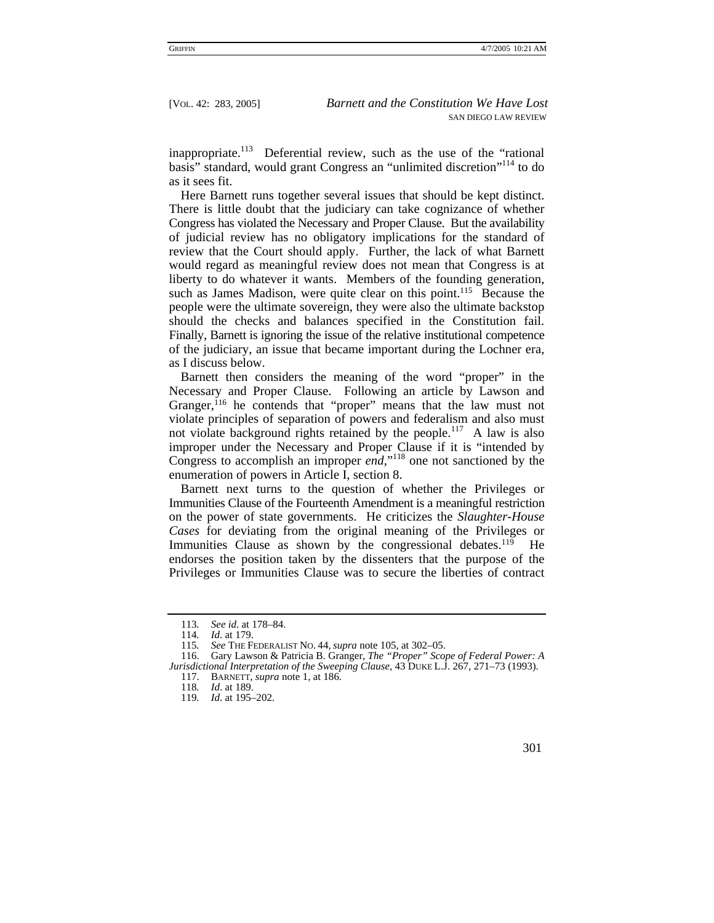inappropriate.<sup>113</sup> Deferential review, such as the use of the "rational basis" standard, would grant Congress an "unlimited discretion"[114](#page-18-1) to do as it sees fit.

Here Barnett runs together several issues that should be kept distinct. There is little doubt that the judiciary can take cognizance of whether Congress has violated the Necessary and Proper Clause. But the availability of judicial review has no obligatory implications for the standard of review that the Court should apply. Further, the lack of what Barnett would regard as meaningful review does not mean that Congress is at liberty to do whatever it wants. Members of the founding generation, such as James Madison, were quite clear on this point.<sup>115</sup> Because the people were the ultimate sovereign, they were also the ultimate backstop should the checks and balances specified in the Constitution fail. Finally, Barnett is ignoring the issue of the relative institutional competence of the judiciary, an issue that became important during the Lochner era, as I discuss below.

Barnett then considers the meaning of the word "proper" in the Necessary and Proper Clause. Following an article by Lawson and Granger,<sup>116</sup> he contends that "proper" means that the law must not violate principles of separation of powers and federalism and also must not violate background rights retained by the people.<sup>117</sup> A law is also improper under the Necessary and Proper Clause if it is "intended by Congress to accomplish an improper *end*,["118](#page-18-5) one not sanctioned by the enumeration of powers in Article I, section 8.

Barnett next turns to the question of whether the Privileges or Immunities Clause of the Fourteenth Amendment is a meaningful restriction on the power of state governments. He criticizes the *Slaughter-House Cases* for deviating from the original meaning of the Privileges or Immunities Clause as shown by the congressional debates.<sup>119</sup> He endorses the position taken by the dissenters that the purpose of the Privileges or Immunities Clause was to secure the liberties of contract

<span id="page-18-4"></span>117. BARNETT, *supra* note 1, at 186.

<span id="page-18-0"></span><sup>113</sup>*. See id*. at 178–84.

<span id="page-18-1"></span><sup>114</sup>*. Id*. at 179.

<span id="page-18-3"></span><span id="page-18-2"></span><sup>115</sup>*. See* THE FEDERALIST NO. 44, *supra* note 105, at 302–05.

<sup>116.</sup> Gary Lawson & Patricia B. Granger, *The "Proper" Scope of Federal Power: A Jurisdictional Interpretation of the Sweeping Clause*, 43 DUKE L.J. 267, 271–73 (1993).

<span id="page-18-5"></span><sup>118</sup>*. Id*. at 189.

<span id="page-18-6"></span><sup>119</sup>*. Id*. at 195–202.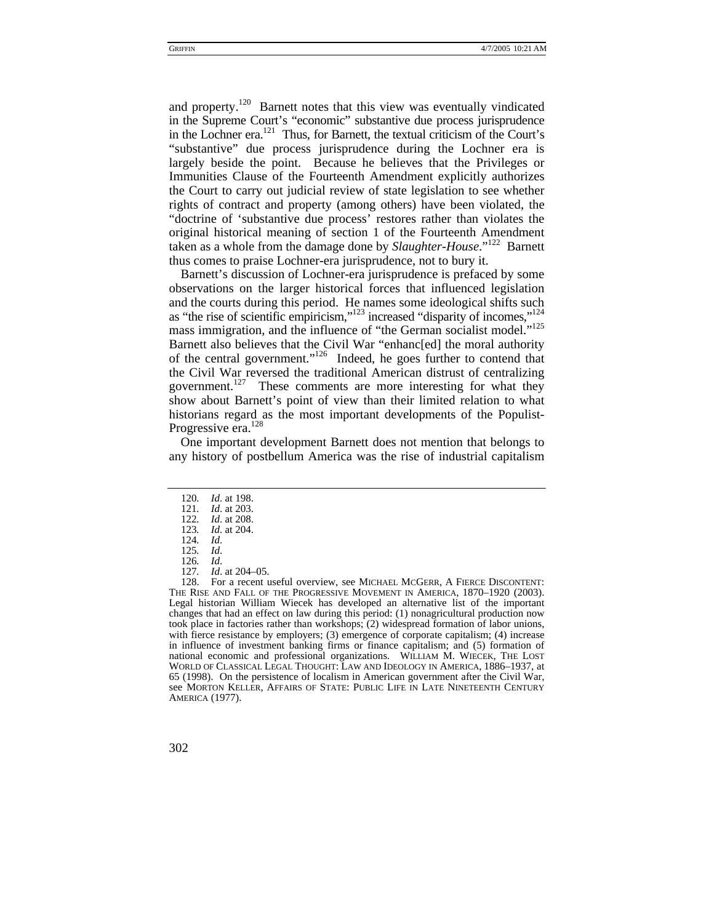and property.<sup>120</sup> Barnett notes that this view was eventually vindicated in the Supreme Court's "economic" substantive due process jurisprudence in the Lochner era.<sup>121</sup> Thus, for Barnett, the textual criticism of the Court's "substantive" due process jurisprudence during the Lochner era is largely beside the point. Because he believes that the Privileges or Immunities Clause of the Fourteenth Amendment explicitly authorizes the Court to carry out judicial review of state legislation to see whether rights of contract and property (among others) have been violated, the "doctrine of 'substantive due process' restores rather than violates the original historical meaning of section 1 of the Fourteenth Amendment taken as a whole from the damage done by *Slaughter-House*."[122](#page-19-2) Barnett thus comes to praise Lochner-era jurisprudence, not to bury it.

Barnett's discussion of Lochner-era jurisprudence is prefaced by some observations on the larger historical forces that influenced legislation and the courts during this period. He names some ideological shifts such as "the rise of scientific empiricism,"[123](#page-19-3) increased "disparity of incomes,"[124](#page-19-4) mass immigration, and the influence of "the German socialist model."<sup>125</sup> Barnett also believes that the Civil War "enhanc[ed] the moral authority of the central government.["126](#page-19-6) Indeed, he goes further to contend that the Civil War reversed the traditional American distrust of centralizing government.<sup>127</sup> These comments are more interesting for what they show about Barnett's point of view than their limited relation to what historians regard as the most important developments of the Populist-Progressive era.<sup>[128](#page-19-8)</sup>

One important development Barnett does not mention that belongs to any history of postbellum America was the rise of industrial capitalism

<span id="page-19-4"></span><span id="page-19-3"></span>124*. Id*.

<span id="page-19-5"></span>125*. Id*.

<span id="page-19-8"></span><sup>128.</sup> For a recent useful overview, see MICHAEL MCGERR, A FIERCE DISCONTENT: THE RISE AND FALL OF THE PROGRESSIVE MOVEMENT IN AMERICA, 1870–1920 (2003). Legal historian William Wiecek has developed an alternative list of the important changes that had an effect on law during this period: (1) nonagricultural production now took place in factories rather than workshops; (2) widespread formation of labor unions, with fierce resistance by employers; (3) emergence of corporate capitalism; (4) increase in influence of investment banking firms or finance capitalism; and (5) formation of national economic and professional organizations. WILLIAM M. WIECEK, THE LOST WORLD OF CLASSICAL LEGAL THOUGHT: LAW AND IDEOLOGY IN AMERICA, 1886–1937, at 65 (1998). On the persistence of localism in American government after the Civil War, see MORTON KELLER, AFFAIRS OF STATE: PUBLIC LIFE IN LATE NINETEENTH CENTURY AMERICA (1977).



<span id="page-19-0"></span><sup>120</sup>*. Id*. at 198.

<span id="page-19-1"></span><sup>121</sup>*. Id*. at 203.

<span id="page-19-2"></span><sup>122</sup>*. Id*. at 208. 123*. Id*. at 204.

<span id="page-19-7"></span><span id="page-19-6"></span><sup>126</sup>*. Id*. 127*. Id*. at 204–05.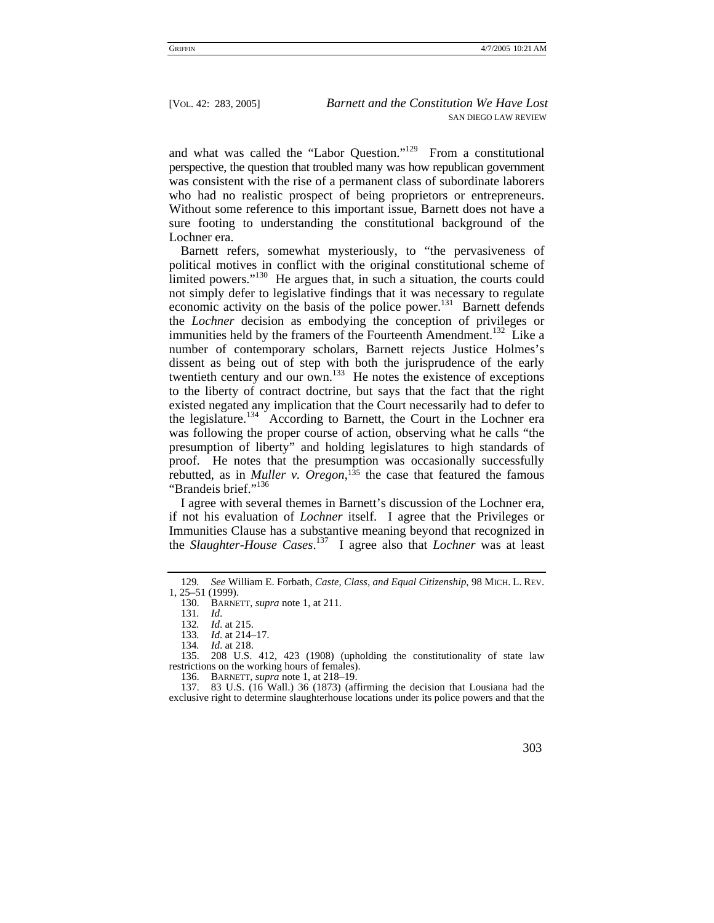and what was called the "Labor Question."<sup>129</sup> From a constitutional perspective, the question that troubled many was how republican government was consistent with the rise of a permanent class of subordinate laborers who had no realistic prospect of being proprietors or entrepreneurs. Without some reference to this important issue, Barnett does not have a sure footing to understanding the constitutional background of the Lochner era.

Barnett refers, somewhat mysteriously, to "the pervasiveness of political motives in conflict with the original constitutional scheme of limited powers."<sup>130</sup> He argues that, in such a situation, the courts could not simply defer to legislative findings that it was necessary to regulate economic activity on the basis of the police power.<sup>131</sup> Barnett defends the *Lochner* decision as embodying the conception of privileges or immunities held by the framers of the Fourteenth Amendment.<sup>132</sup> Like a number of contemporary scholars, Barnett rejects Justice Holmes's dissent as being out of step with both the jurisprudence of the early twentieth century and our own. $^{133}$  He notes the existence of exceptions to the liberty of contract doctrine, but says that the fact that the right existed negated any implication that the Court necessarily had to defer to the legislature.[134](#page-20-5) According to Barnett, the Court in the Lochner era was following the proper course of action, observing what he calls "the presumption of liberty" and holding legislatures to high standards of proof. He notes that the presumption was occasionally successfully rebutted, as in *Muller v. Oregon*, [135](#page-20-6) the case that featured the famous "Brandeis brief."<sup>[136](#page-20-7)</sup>

I agree with several themes in Barnett's discussion of the Lochner era, if not his evaluation of *Lochner* itself. I agree that the Privileges or Immunities Clause has a substantive meaning beyond that recognized in the *Slaughter-House Cases*. [137](#page-20-8) I agree also that *Lochner* was at least

<sup>137. 83</sup> U.S. (16 Wall.) 36 (1873) (affirming the decision that Lousiana had the exclusive right to determine slaughterhouse locations under its police powers and that the



<span id="page-20-0"></span><sup>129</sup>*. See* William E. Forbath, *Caste, Class, and Equal Citizenship*, 98 MICH. L. REV. 1, 25–51 (1999).

<span id="page-20-1"></span><sup>130.</sup> BARNETT, *supra* note 1, at 211.

<span id="page-20-2"></span><sup>131</sup>*. Id*.

<span id="page-20-3"></span><sup>132</sup>*. Id*. at 215.

<span id="page-20-4"></span><sup>133</sup>*. Id*. at 214–17.

<span id="page-20-6"></span><span id="page-20-5"></span><sup>134</sup>*. Id*. at 218.

<sup>135. 208</sup> U.S. 412, 423 (1908) (upholding the constitutionality of state law restrictions on the working hours of females).

<span id="page-20-8"></span><span id="page-20-7"></span><sup>136.</sup> BARNETT, *supra* note 1, at 218–19.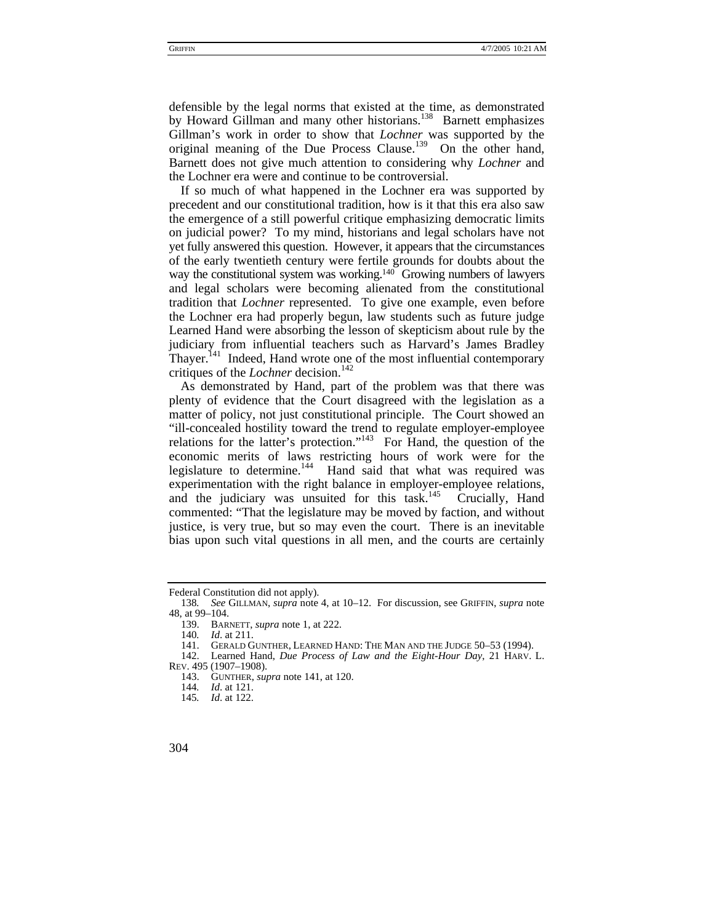defensible by the legal norms that existed at the time, as demonstrated by Howard Gillman and many other historians.<sup>138</sup> Barnett emphasizes Gillman's work in order to show that *Lochner* was supported by the original meaning of the Due Process Clause.[139](#page-21-1) On the other hand, Barnett does not give much attention to considering why *Lochner* and the Lochner era were and continue to be controversial.

If so much of what happened in the Lochner era was supported by precedent and our constitutional tradition, how is it that this era also saw the emergence of a still powerful critique emphasizing democratic limits on judicial power? To my mind, historians and legal scholars have not yet fully answered this question. However, it appears that the circumstances of the early twentieth century were fertile grounds for doubts about the way the constitutional system was working.<sup>140</sup> Growing numbers of lawyers and legal scholars were becoming alienated from the constitutional tradition that *Lochner* represented. To give one example, even before the Lochner era had properly begun, law students such as future judge Learned Hand were absorbing the lesson of skepticism about rule by the judiciary from influential teachers such as Harvard's James Bradley Thaver.<sup>141</sup> Indeed, Hand wrote one of the most influential contemporary critiques of the *Lochner* decision.<sup>[142](#page-21-4)</sup>

As demonstrated by Hand, part of the problem was that there was plenty of evidence that the Court disagreed with the legislation as a matter of policy, not just constitutional principle. The Court showed an "ill-concealed hostility toward the trend to regulate employer-employee relations for the latter's protection."<sup>143</sup> For Hand, the question of the economic merits of laws restricting hours of work were for the legislature to determine.<sup>144</sup> Hand said that what was required was experimentation with the right balance in employer-employee relations, and the judiciary was unsuited for this  $\text{task}^{145}$  Crucially, Hand commented: "That the legislature may be moved by faction, and without justice, is very true, but so may even the court. There is an inevitable bias upon such vital questions in all men, and the courts are certainly

Federal Constitution did not apply).

<span id="page-21-0"></span><sup>138</sup>*. See* GILLMAN, *supra* note 4, at 10–12. For discussion, see GRIFFIN, *supra* note 48, at 99–104.

<span id="page-21-1"></span><sup>139.</sup> BARNETT, *supra* note 1, at 222.

<span id="page-21-2"></span><sup>140</sup>*. Id*. at 211.

<span id="page-21-4"></span><span id="page-21-3"></span><sup>141.</sup> GERALD GUNTHER, LEARNED HAND: THE MAN AND THE JUDGE 50–53 (1994).

<sup>142.</sup> Learned Hand, *Due Process of Law and the Eight-Hour Day*, 21 HARV. L. REV. 495 (1907–1908).

<span id="page-21-5"></span><sup>143.</sup> GUNTHER, *supra* note 141, at 120.

<span id="page-21-6"></span><sup>144</sup>*. Id*. at 121.

<span id="page-21-7"></span><sup>145</sup>*. Id*. at 122.

<sup>304</sup>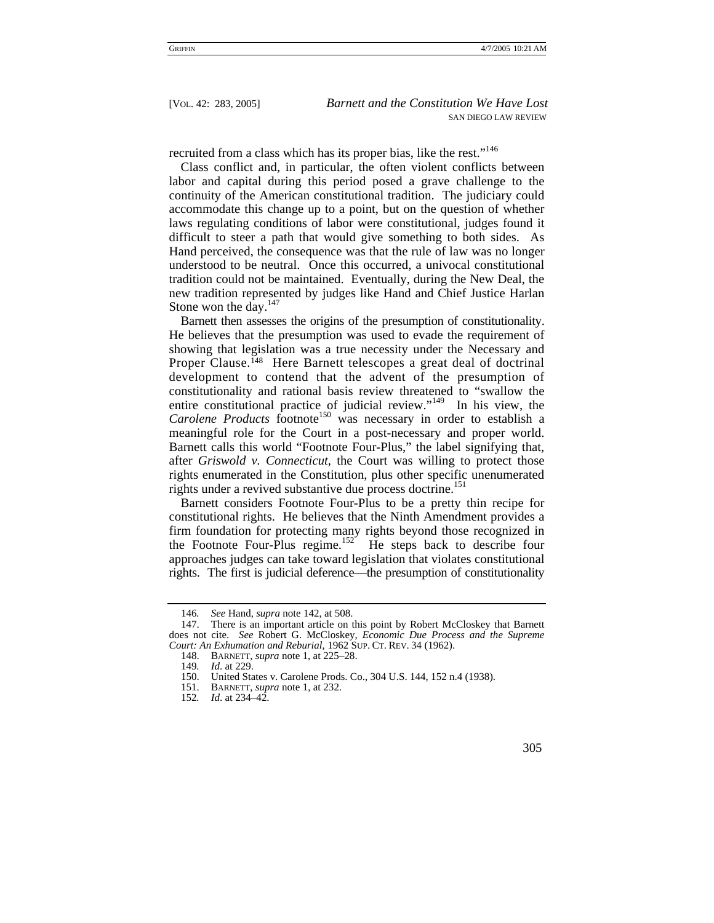recruited from a class which has its proper bias, like the rest."<sup>[146](#page-22-0)</sup>

Class conflict and, in particular, the often violent conflicts between labor and capital during this period posed a grave challenge to the continuity of the American constitutional tradition. The judiciary could accommodate this change up to a point, but on the question of whether laws regulating conditions of labor were constitutional, judges found it difficult to steer a path that would give something to both sides. As Hand perceived, the consequence was that the rule of law was no longer understood to be neutral. Once this occurred, a univocal constitutional tradition could not be maintained. Eventually, during the New Deal, the new tradition represented by judges like Hand and Chief Justice Harlan Stone won the day.<sup>[147](#page-22-1)</sup>

Barnett then assesses the origins of the presumption of constitutionality. He believes that the presumption was used to evade the requirement of showing that legislation was a true necessity under the Necessary and Proper Clause.<sup>148</sup> Here Barnett telescopes a great deal of doctrinal development to contend that the advent of the presumption of constitutionality and rational basis review threatened to "swallow the entire constitutional practice of judicial review."<sup>149</sup> In his view, the Carolene Products footnote<sup>150</sup> was necessary in order to establish a meaningful role for the Court in a post-necessary and proper world. Barnett calls this world "Footnote Four-Plus," the label signifying that, after *Griswold v. Connecticut*, the Court was willing to protect those rights enumerated in the Constitution, plus other specific unenumerated rights under a revived substantive due process doctrine.<sup>[151](#page-22-5)</sup>

Barnett considers Footnote Four-Plus to be a pretty thin recipe for constitutional rights. He believes that the Ninth Amendment provides a firm foundation for protecting many rights beyond those recognized in the Footnote Four-Plus regime.<sup>152</sup> He steps back to describe four approaches judges can take toward legislation that violates constitutional rights. The first is judicial deference—the presumption of constitutionality

<span id="page-22-1"></span><span id="page-22-0"></span><sup>146</sup>*. See* Hand, *supra* note 142, at 508.

<sup>147.</sup> There is an important article on this point by Robert McCloskey that Barnett does not cite. *See* Robert G. McCloskey, *Economic Due Process and the Supreme Court: An Exhumation and Reburial*, 1962 SUP. CT. REV. 34 (1962).

<span id="page-22-2"></span><sup>148.</sup> BARNETT, *supra* note 1, at 225–28.

<span id="page-22-3"></span><sup>149</sup>*. Id*. at 229.

<span id="page-22-4"></span><sup>150.</sup> United States v. Carolene Prods. Co., 304 U.S. 144, 152 n.4 (1938).

<span id="page-22-5"></span><sup>151.</sup> BARNETT, *supra* note 1, at 232.

<span id="page-22-6"></span><sup>152</sup>*. Id*. at 234–42.

 <sup>305</sup>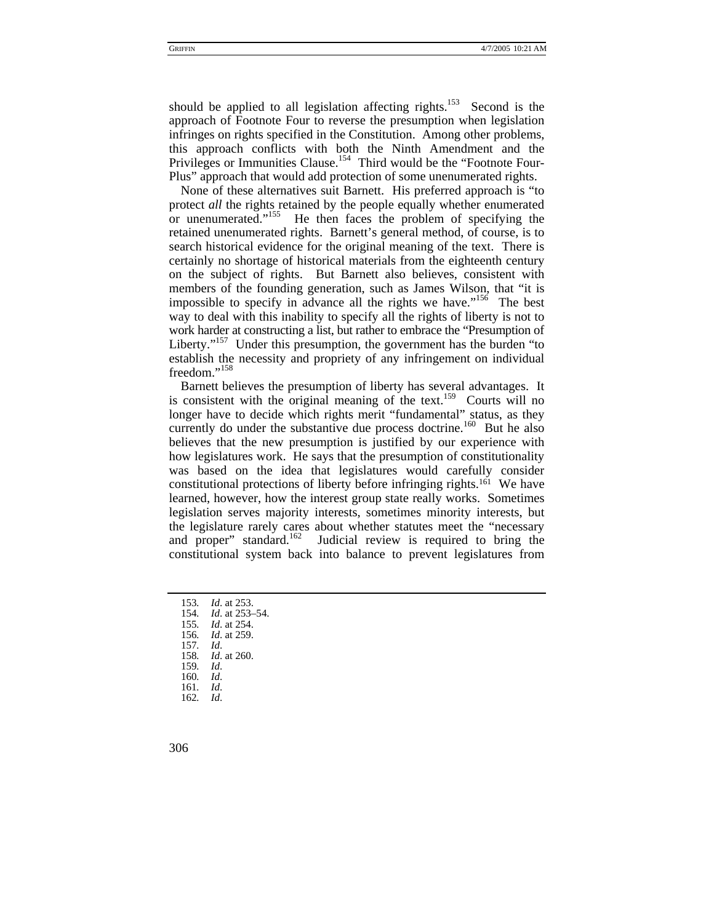should be applied to all legislation affecting rights.<sup>153</sup> Second is the approach of Footnote Four to reverse the presumption when legislation infringes on rights specified in the Constitution. Among other problems, this approach conflicts with both the Ninth Amendment and the Privileges or Immunities Clause.<sup>154</sup> Third would be the "Footnote Four-Plus" approach that would add protection of some unenumerated rights.

None of these alternatives suit Barnett. His preferred approach is "to protect *all* the rights retained by the people equally whether enumerated or unenumerated."<sup>155</sup> He then faces the problem of specifying the retained unenumerated rights. Barnett's general method, of course, is to search historical evidence for the original meaning of the text. There is certainly no shortage of historical materials from the eighteenth century on the subject of rights. But Barnett also believes, consistent with members of the founding generation, such as James Wilson, that "it is impossible to specify in advance all the rights we have."<sup>156</sup> The best way to deal with this inability to specify all the rights of liberty is not to work harder at constructing a list, but rather to embrace the "Presumption of Liberty."<sup>157</sup> Under this presumption, the government has the burden "to establish the necessity and propriety of any infringement on individual freedom."<sup>[158](#page-23-5)</sup>

Barnett believes the presumption of liberty has several advantages. It is consistent with the original meaning of the text.<sup>159</sup> Courts will no longer have to decide which rights merit "fundamental" status, as they currently do under the substantive due process doctrine.<sup>160</sup> But he also believes that the new presumption is justified by our experience with how legislatures work. He says that the presumption of constitutionality was based on the idea that legislatures would carefully consider constitutional protections of liberty before infringing rights.[161](#page-23-8) We have learned, however, how the interest group state really works. Sometimes legislation serves majority interests, sometimes minority interests, but the legislature rarely cares about whether statutes meet the "necessary and proper" standard.<sup>162</sup> Judicial review is required to bring the constitutional system back into balance to prevent legislatures from

<span id="page-23-0"></span>153*. Id*. at 253.

<span id="page-23-1"></span>154*. Id*. at 253–54.

<span id="page-23-2"></span>155*. Id*. at 254.

<span id="page-23-3"></span>156*. Id*. at 259.

<span id="page-23-4"></span>157*. Id*.

<span id="page-23-5"></span>158*. Id*. at 260. 159*. Id*.

- <span id="page-23-7"></span><span id="page-23-6"></span>160*. Id*.
- 

<span id="page-23-9"></span><span id="page-23-8"></span>161*. Id*. 162*. Id*.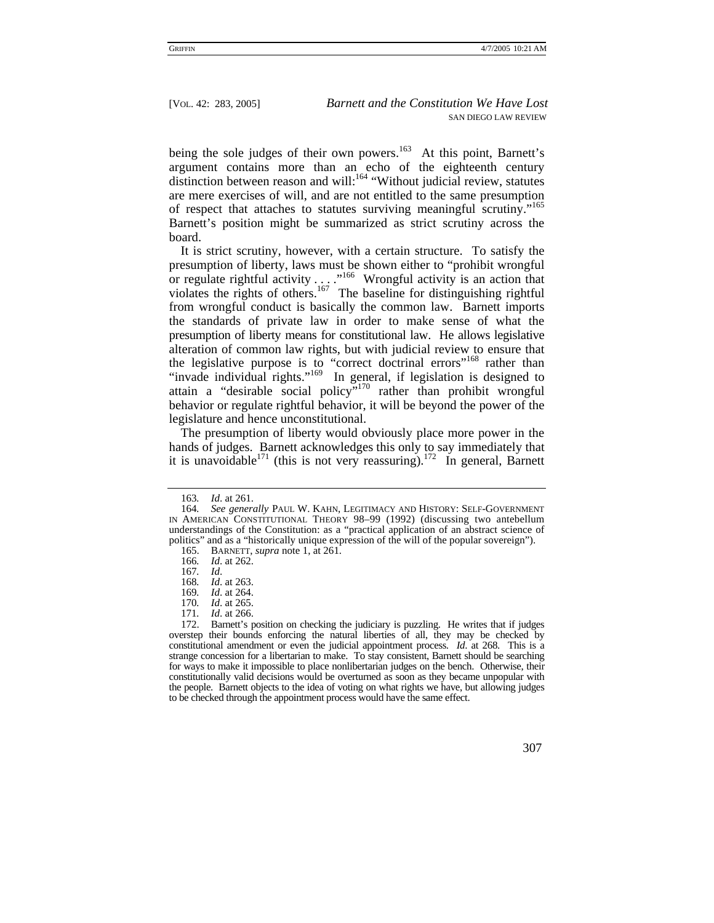being the sole judges of their own powers.<sup>163</sup> At this point, Barnett's argument contains more than an echo of the eighteenth century distinction between reason and will:<sup>164</sup> "Without judicial review, statutes are mere exercises of will, and are not entitled to the same presumption of respect that attaches to statutes surviving meaningful scrutiny."[165](#page-24-2)  Barnett's position might be summarized as strict scrutiny across the board.

It is strict scrutiny, however, with a certain structure. To satisfy the presumption of liberty, laws must be shown either to "prohibit wrongful or regulate rightful activity  $\dots$ ."<sup>166</sup> Wrongful activity is an action that violates the rights of others.<sup>167</sup> The baseline for distinguishing rightful from wrongful conduct is basically the common law. Barnett imports the standards of private law in order to make sense of what the presumption of liberty means for constitutional law. He allows legislative alteration of common law rights, but with judicial review to ensure that the legislative purpose is to "correct doctrinal errors"<sup>168</sup> rather than "invade individual rights."<sup>169</sup> In general, if legislation is designed to attain a "desirable social policy"[170](#page-24-7) rather than prohibit wrongful behavior or regulate rightful behavior, it will be beyond the power of the legislature and hence unconstitutional.

The presumption of liberty would obviously place more power in the hands of judges. Barnett acknowledges this only to say immediately that it is unavoidable<sup>171</sup> (this is not very reassuring).<sup>172</sup> In general, Barnett

<span id="page-24-2"></span>165. BARNETT, *supra* note 1, at 261.

<sup>172.</sup> Barnett's position on checking the judiciary is puzzling. He writes that if judges overstep their bounds enforcing the natural liberties of all, they may be checked by constitutional amendment or even the judicial appointment process. *Id*. at 268. This is a strange concession for a libertarian to make. To stay consistent, Barnett should be searching for ways to make it impossible to place nonlibertarian judges on the bench. Otherwise, their constitutionally valid decisions would be overturned as soon as they became unpopular with the people. Barnett objects to the idea of voting on what rights we have, but allowing judges to be checked through the appointment process would have the same effect.



<span id="page-24-1"></span><span id="page-24-0"></span><sup>163</sup>*. Id*. at 261.

<sup>164</sup>*. See generally* PAUL W. KAHN, LEGITIMACY AND HISTORY: SELF-GOVERNMENT IN AMERICAN CONSTITUTIONAL THEORY 98–99 (1992) (discussing two antebellum understandings of the Constitution: as a "practical application of an abstract science of politics" and as a "historically unique expression of the will of the popular sovereign").

<span id="page-24-3"></span><sup>166</sup>*. Id*. at 262.

<span id="page-24-4"></span><sup>167</sup>*. Id*. *Id.* at 263.

<span id="page-24-6"></span><span id="page-24-5"></span><sup>169</sup>*. Id*. at 264.

<span id="page-24-7"></span><sup>170</sup>*. Id*. at 265.

<span id="page-24-9"></span><span id="page-24-8"></span><sup>171</sup>*. Id*. at 266.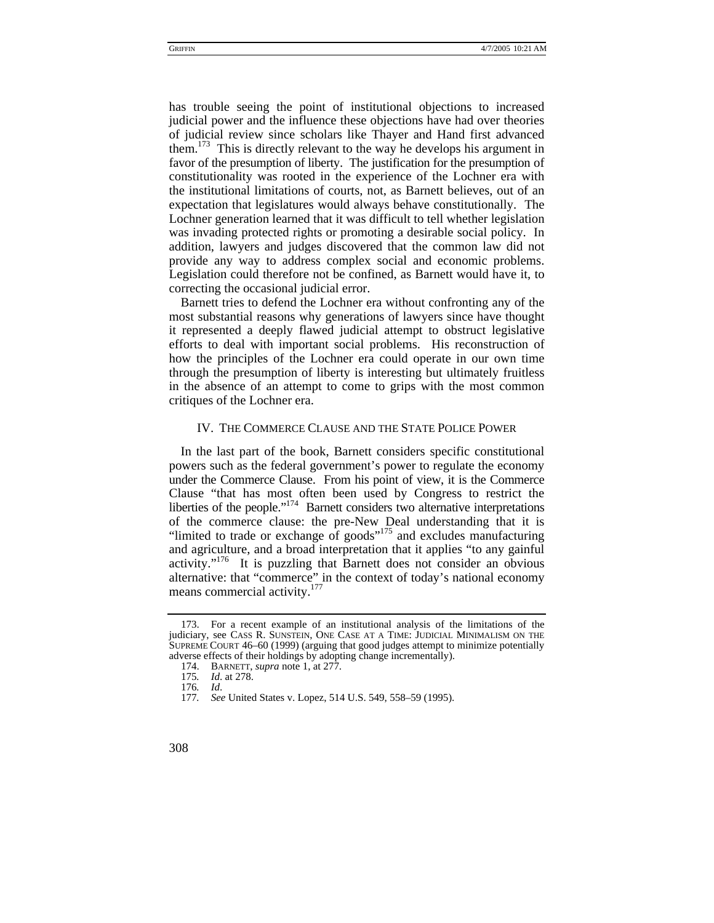has trouble seeing the point of institutional objections to increased judicial power and the influence these objections have had over theories of judicial review since scholars like Thayer and Hand first advanced them.<sup>173</sup> This is directly relevant to the way he develops his argument in favor of the presumption of liberty. The justification for the presumption of constitutionality was rooted in the experience of the Lochner era with the institutional limitations of courts, not, as Barnett believes, out of an expectation that legislatures would always behave constitutionally. The Lochner generation learned that it was difficult to tell whether legislation was invading protected rights or promoting a desirable social policy. In addition, lawyers and judges discovered that the common law did not provide any way to address complex social and economic problems. Legislation could therefore not be confined, as Barnett would have it, to correcting the occasional judicial error.

Barnett tries to defend the Lochner era without confronting any of the most substantial reasons why generations of lawyers since have thought it represented a deeply flawed judicial attempt to obstruct legislative efforts to deal with important social problems. His reconstruction of how the principles of the Lochner era could operate in our own time through the presumption of liberty is interesting but ultimately fruitless in the absence of an attempt to come to grips with the most common critiques of the Lochner era.

## IV. THE COMMERCE CLAUSE AND THE STATE POLICE POWER

In the last part of the book, Barnett considers specific constitutional powers such as the federal government's power to regulate the economy under the Commerce Clause. From his point of view, it is the Commerce Clause "that has most often been used by Congress to restrict the liberties of the people."<sup>174</sup> Barnett considers two alternative interpretations of the commerce clause: the pre-New Deal understanding that it is "limited to trade or exchange of goods"<sup>175</sup> and excludes manufacturing and agriculture, and a broad interpretation that it applies "to any gainful activity."[176](#page-25-3) It is puzzling that Barnett does not consider an obvious alternative: that "commerce" in the context of today's national economy means commercial activity.<sup>[177](#page-25-4)</sup>

<span id="page-25-0"></span><sup>173.</sup> For a recent example of an institutional analysis of the limitations of the judiciary, see CASS R. SUNSTEIN, ONE CASE AT A TIME: JUDICIAL MINIMALISM ON THE SUPREME COURT 46–60 (1999) (arguing that good judges attempt to minimize potentially adverse effects of their holdings by adopting change incrementally).

<span id="page-25-1"></span><sup>174.</sup> BARNETT, *supra* note 1, at 277.

<span id="page-25-2"></span><sup>175</sup>*. Id*. at 278.

<span id="page-25-3"></span><sup>176</sup>*. Id*.

<span id="page-25-4"></span><sup>177</sup>*. See* United States v. Lopez, 514 U.S. 549, 558–59 (1995).

<sup>308</sup>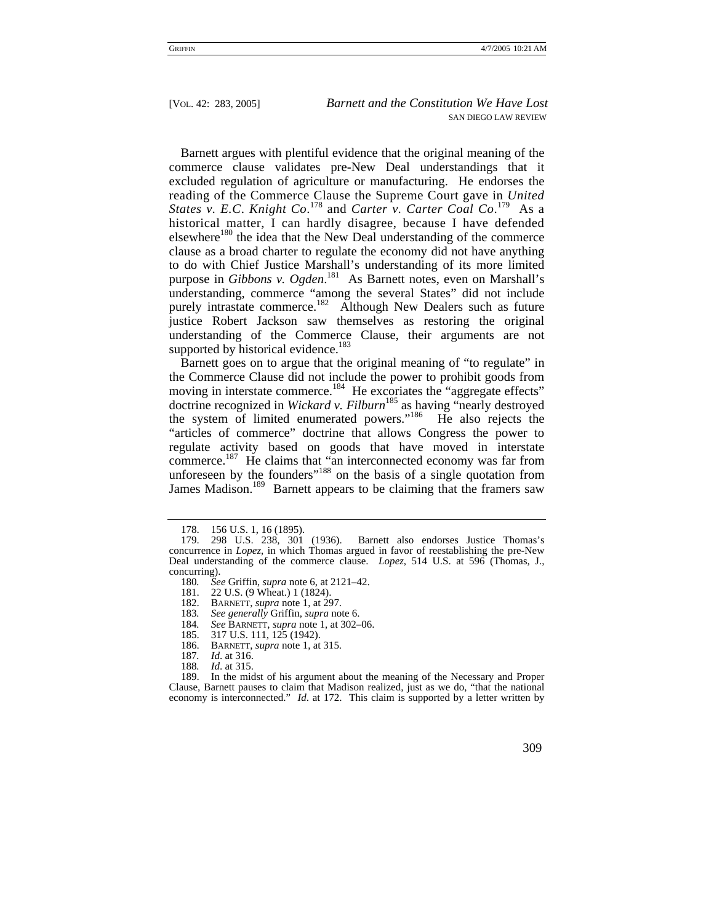Barnett argues with plentiful evidence that the original meaning of the commerce clause validates pre-New Deal understandings that it excluded regulation of agriculture or manufacturing. He endorses the reading of the Commerce Clause the Supreme Court gave in *United States v. E.C*. *Knight Co*. [178](#page-26-0) and *Carter v. Carter Coal Co*. [179](#page-26-1) As a historical matter, I can hardly disagree, because I have defended elsewhere<sup>180</sup> the idea that the New Deal understanding of the commerce clause as a broad charter to regulate the economy did not have anything to do with Chief Justice Marshall's understanding of its more limited purpose in *Gibbons v. Ogden*. [181](#page-26-3) As Barnett notes, even on Marshall's understanding, commerce "among the several States" did not include purely intrastate commerce.<sup>182</sup> Although New Dealers such as future justice Robert Jackson saw themselves as restoring the original understanding of the Commerce Clause, their arguments are not supported by historical evidence.<sup>[183](#page-26-5)</sup>

Barnett goes on to argue that the original meaning of "to regulate" in the Commerce Clause did not include the power to prohibit goods from moving in interstate commerce.<sup>184</sup> He excoriates the "aggregate effects" doctrine recognized in *Wickard v. Filburn*[185](#page-26-7) as having "nearly destroyed the system of limited enumerated powers."[186](#page-26-8) He also rejects the "articles of commerce" doctrine that allows Congress the power to regulate activity based on goods that have moved in interstate commerce.<sup>187</sup> He claims that "an interconnected economy was far from unforeseen by the founders"<sup>188</sup> on the basis of a single quotation from James Madison.<sup>189</sup> Barnett appears to be claiming that the framers saw

<span id="page-26-1"></span><span id="page-26-0"></span><sup>178. 156</sup> U.S. 1, 16 (1895).

<sup>179. 298</sup> U.S. 238, 301 (1936). Barnett also endorses Justice Thomas's concurrence in *Lopez*, in which Thomas argued in favor of reestablishing the pre-New Deal understanding of the commerce clause. *Lopez*, 514 U.S. at 596 (Thomas, J., concurring).<br>180. See

<span id="page-26-2"></span><sup>180</sup>*. See* Griffin, *supra* note 6, at 2121–42.

<span id="page-26-3"></span><sup>22</sup> U.S. (9 Wheat.) 1 (1824).

<span id="page-26-4"></span><sup>182.</sup> BARNETT, *supra* note 1, at 297.<br>183. See generally Griffin, *supra* no

<span id="page-26-6"></span>

<span id="page-26-5"></span><sup>183</sup>*. See generally* Griffin, *supra* note 6. 184*. See* BARNETT, *supra* note 1, at 302–06.

<span id="page-26-7"></span><sup>185. 317</sup> U.S. 111, 125 (1942).

<span id="page-26-8"></span><sup>186.</sup> BARNETT, *supra* note 1, at 315.

<span id="page-26-9"></span><sup>187</sup>*. Id*. at 316.

<span id="page-26-11"></span><span id="page-26-10"></span><sup>188</sup>*. Id*. at 315.

<sup>189.</sup> In the midst of his argument about the meaning of the Necessary and Proper Clause, Barnett pauses to claim that Madison realized, just as we do, "that the national economy is interconnected." *Id*. at 172. This claim is supported by a letter written by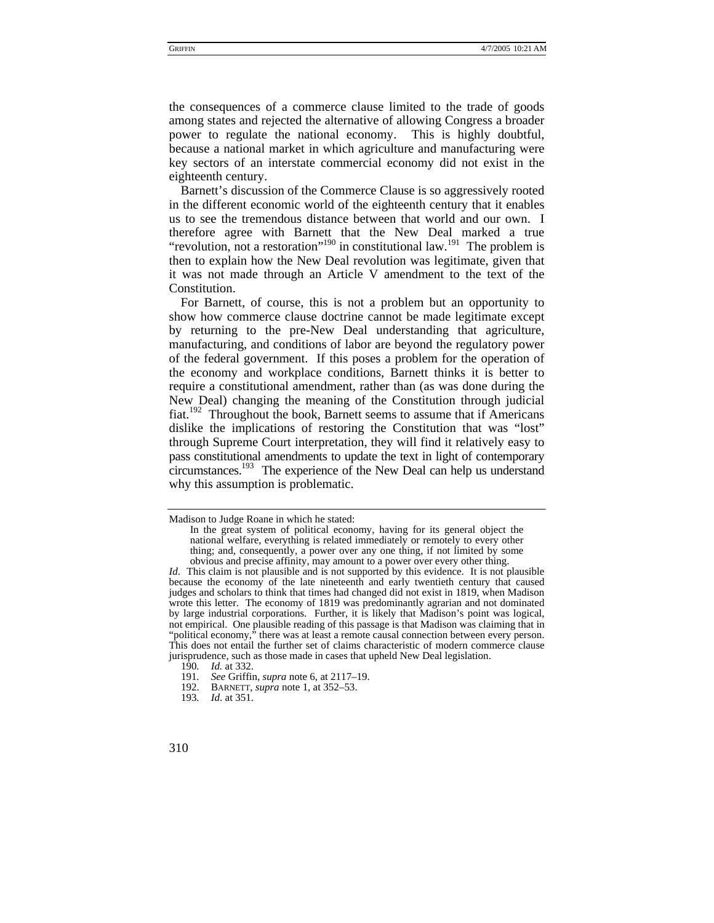the consequences of a commerce clause limited to the trade of goods among states and rejected the alternative of allowing Congress a broader power to regulate the national economy. This is highly doubtful, because a national market in which agriculture and manufacturing were key sectors of an interstate commercial economy did not exist in the eighteenth century.

Barnett's discussion of the Commerce Clause is so aggressively rooted in the different economic world of the eighteenth century that it enables us to see the tremendous distance between that world and our own. I therefore agree with Barnett that the New Deal marked a true "revolution, not a restoration"<sup>190</sup> in constitutional law.<sup>191</sup> The problem is then to explain how the New Deal revolution was legitimate, given that it was not made through an Article V amendment to the text of the Constitution.

For Barnett, of course, this is not a problem but an opportunity to show how commerce clause doctrine cannot be made legitimate except by returning to the pre-New Deal understanding that agriculture, manufacturing, and conditions of labor are beyond the regulatory power of the federal government. If this poses a problem for the operation of the economy and workplace conditions, Barnett thinks it is better to require a constitutional amendment, rather than (as was done during the New Deal) changing the meaning of the Constitution through judicial fiat.[192](#page-27-2) Throughout the book, Barnett seems to assume that if Americans dislike the implications of restoring the Constitution that was "lost" through Supreme Court interpretation, they will find it relatively easy to pass constitutional amendments to update the text in light of contemporary circumstances.<sup>193</sup> The experience of the New Deal can help us understand why this assumption is problematic.

Madison to Judge Roane in which he stated:

In the great system of political economy, having for its general object the national welfare, everything is related immediately or remotely to every other thing; and, consequently, a power over any one thing, if not limited by some obvious and precise affinity, may amount to a power over every other thing.

*Id*. This claim is not plausible and is not supported by this evidence. It is not plausible because the economy of the late nineteenth and early twentieth century that caused judges and scholars to think that times had changed did not exist in 1819, when Madison wrote this letter. The economy of 1819 was predominantly agrarian and not dominated by large industrial corporations. Further, it is likely that Madison's point was logical, not empirical. One plausible reading of this passage is that Madison was claiming that in "political economy," there was at least a remote causal connection between every person. This does not entail the further set of claims characteristic of modern commerce clause jurisprudence, such as those made in cases that upheld New Deal legislation.

<span id="page-27-1"></span>

<span id="page-27-0"></span><sup>190</sup>*. Id.* at 332. 191*. See* Griffin, *supra* note 6, at 2117–19.

<span id="page-27-2"></span><sup>192.</sup> BARNETT, *supra* note 1, at 352–53.

<span id="page-27-3"></span><sup>193</sup>*. Id*. at 351.

<sup>310</sup>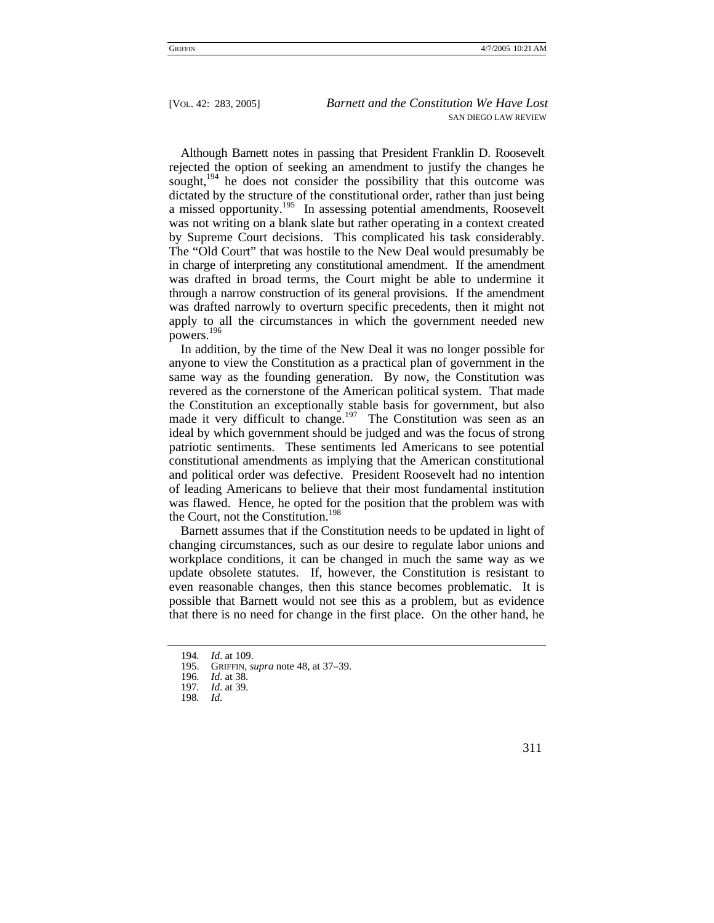Although Barnett notes in passing that President Franklin D. Roosevelt rejected the option of seeking an amendment to justify the changes he sought, $194$  he does not consider the possibility that this outcome was dictated by the structure of the constitutional order, rather than just being a missed opportunity.<sup>195</sup> In assessing potential amendments, Roosevelt was not writing on a blank slate but rather operating in a context created by Supreme Court decisions. This complicated his task considerably. The "Old Court" that was hostile to the New Deal would presumably be in charge of interpreting any constitutional amendment. If the amendment was drafted in broad terms, the Court might be able to undermine it through a narrow construction of its general provisions. If the amendment was drafted narrowly to overturn specific precedents, then it might not apply to all the circumstances in which the government needed new powers.[196](#page-28-2)

In addition, by the time of the New Deal it was no longer possible for anyone to view the Constitution as a practical plan of government in the same way as the founding generation. By now, the Constitution was revered as the cornerstone of the American political system. That made the Constitution an exceptionally stable basis for government, but also made it very difficult to change.<sup>197</sup> The Constitution was seen as an ideal by which government should be judged and was the focus of strong patriotic sentiments. These sentiments led Americans to see potential constitutional amendments as implying that the American constitutional and political order was defective. President Roosevelt had no intention of leading Americans to believe that their most fundamental institution was flawed. Hence, he opted for the position that the problem was with the Court, not the Constitution.<sup>[198](#page-28-4)</sup>

Barnett assumes that if the Constitution needs to be updated in light of changing circumstances, such as our desire to regulate labor unions and workplace conditions, it can be changed in much the same way as we update obsolete statutes. If, however, the Constitution is resistant to even reasonable changes, then this stance becomes problematic. It is possible that Barnett would not see this as a problem, but as evidence that there is no need for change in the first place. On the other hand, he

<span id="page-28-0"></span><sup>194</sup>*. Id*. at 109.

<span id="page-28-1"></span><sup>195.</sup> GRIFFIN, *supra* note 48, at 37–39.

<span id="page-28-2"></span><sup>196</sup>*. Id*. at 38.

<span id="page-28-3"></span><sup>197</sup>*. Id*. at 39.

<span id="page-28-4"></span><sup>198</sup>*. Id*.

 <sup>311</sup>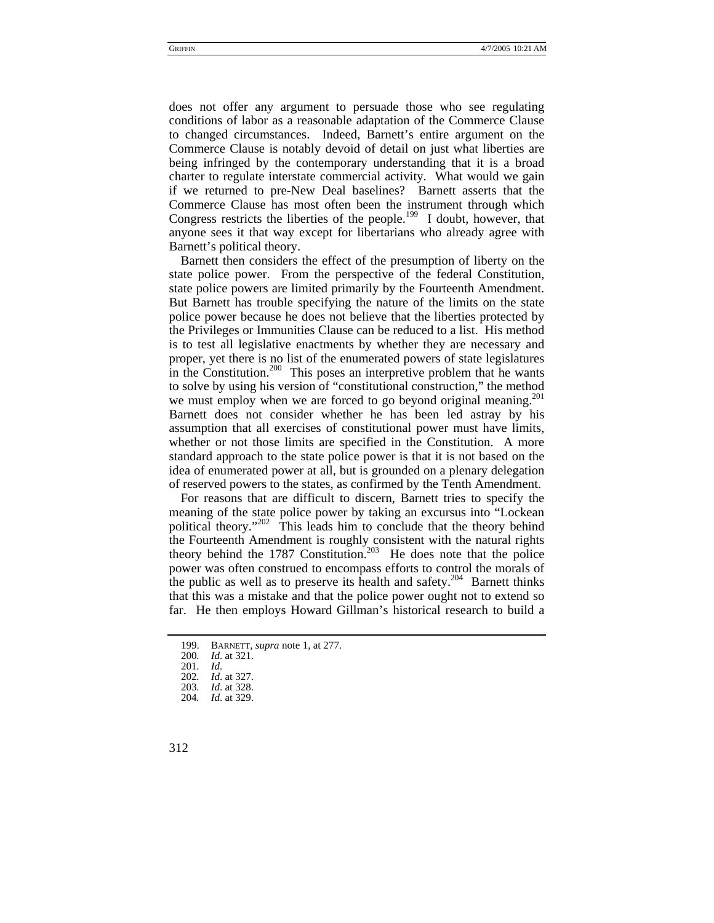does not offer any argument to persuade those who see regulating conditions of labor as a reasonable adaptation of the Commerce Clause to changed circumstances. Indeed, Barnett's entire argument on the Commerce Clause is notably devoid of detail on just what liberties are being infringed by the contemporary understanding that it is a broad charter to regulate interstate commercial activity. What would we gain if we returned to pre-New Deal baselines? Barnett asserts that the Commerce Clause has most often been the instrument through which Congress restricts the liberties of the people.<sup>199</sup> I doubt, however, that anyone sees it that way except for libertarians who already agree with Barnett's political theory.

Barnett then considers the effect of the presumption of liberty on the state police power. From the perspective of the federal Constitution, state police powers are limited primarily by the Fourteenth Amendment. But Barnett has trouble specifying the nature of the limits on the state police power because he does not believe that the liberties protected by the Privileges or Immunities Clause can be reduced to a list. His method is to test all legislative enactments by whether they are necessary and proper, yet there is no list of the enumerated powers of state legislatures in the Constitution.<sup>200</sup> This poses an interpretive problem that he wants to solve by using his version of "constitutional construction," the method we must employ when we are forced to go beyond original meaning.<sup>201</sup> Barnett does not consider whether he has been led astray by his assumption that all exercises of constitutional power must have limits, whether or not those limits are specified in the Constitution. A more standard approach to the state police power is that it is not based on the idea of enumerated power at all, but is grounded on a plenary delegation of reserved powers to the states, as confirmed by the Tenth Amendment.

For reasons that are difficult to discern, Barnett tries to specify the meaning of the state police power by taking an excursus into "Lockean political theory."<sup>202</sup> This leads him to conclude that the theory behind the Fourteenth Amendment is roughly consistent with the natural rights theory behind the 1787 Constitution.<sup>203</sup> He does note that the police power was often construed to encompass efforts to control the morals of the public as well as to preserve its health and safety.<sup>204</sup> Barnett thinks that this was a mistake and that the police power ought not to extend so far. He then employs Howard Gillman's historical research to build a

<span id="page-29-0"></span><sup>199.</sup> BARNETT, *supra* note 1, at 277.

<span id="page-29-1"></span><sup>200</sup>*. Id*. at 321.

<span id="page-29-2"></span><sup>201</sup>*. Id*.

<span id="page-29-3"></span><sup>202</sup>*. Id*. at 327.

<span id="page-29-4"></span><sup>203</sup>*. Id*. at 328.

<span id="page-29-5"></span><sup>204</sup>*. Id*. at 329.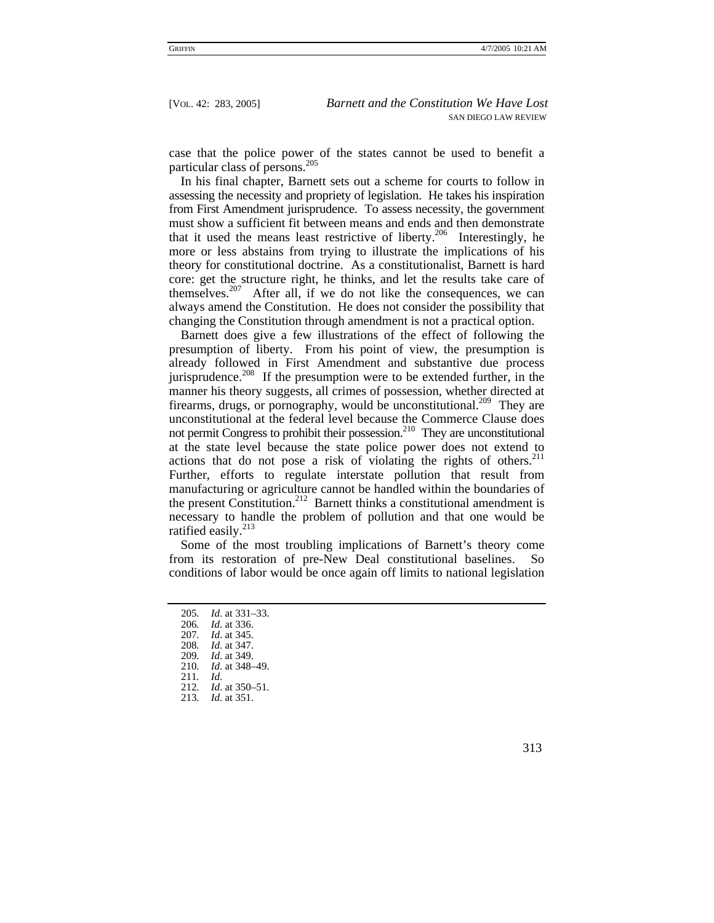case that the police power of the states cannot be used to benefit a particular class of persons.[205](#page-30-0)

In his final chapter, Barnett sets out a scheme for courts to follow in assessing the necessity and propriety of legislation. He takes his inspiration from First Amendment jurisprudence. To assess necessity, the government must show a sufficient fit between means and ends and then demonstrate that it used the means least restrictive of liberty.<sup>206</sup> Interestingly, he more or less abstains from trying to illustrate the implications of his theory for constitutional doctrine. As a constitutionalist, Barnett is hard core: get the structure right, he thinks, and let the results take care of themselves.<sup>207</sup> After all, if we do not like the consequences, we can always amend the Constitution. He does not consider the possibility that changing the Constitution through amendment is not a practical option.

Barnett does give a few illustrations of the effect of following the presumption of liberty. From his point of view, the presumption is already followed in First Amendment and substantive due process jurisprudence.<sup>208</sup> If the presumption were to be extended further, in the manner his theory suggests, all crimes of possession, whether directed at firearms, drugs, or pornography, would be unconstitutional.<sup>209</sup> They are unconstitutional at the federal level because the Commerce Clause does not permit Congress to prohibit their possession.<sup>210</sup> They are unconstitutional at the state level because the state police power does not extend to actions that do not pose a risk of violating the rights of others. $211$ Further, efforts to regulate interstate pollution that result from manufacturing or agriculture cannot be handled within the boundaries of the present Constitution.<sup>212</sup> Barnett thinks a constitutional amendment is necessary to handle the problem of pollution and that one would be ratified easily.<sup>213</sup>

Some of the most troubling implications of Barnett's theory come from its restoration of pre-New Deal constitutional baselines. So conditions of labor would be once again off limits to national legislation

<span id="page-30-0"></span>205*. Id*. at 331–33.

<span id="page-30-1"></span>206*. Id*. at 336.

<span id="page-30-2"></span>207*. Id*. at 345.

<span id="page-30-3"></span>208*. Id*. at 347.

<span id="page-30-4"></span>209*. Id*. at 349.

<span id="page-30-5"></span>210*. Id*. at 348–49.

<span id="page-30-6"></span>211*. Id*.

<span id="page-30-7"></span>212*. Id*. at 350–51.

<span id="page-30-8"></span>213*. Id*. at 351.